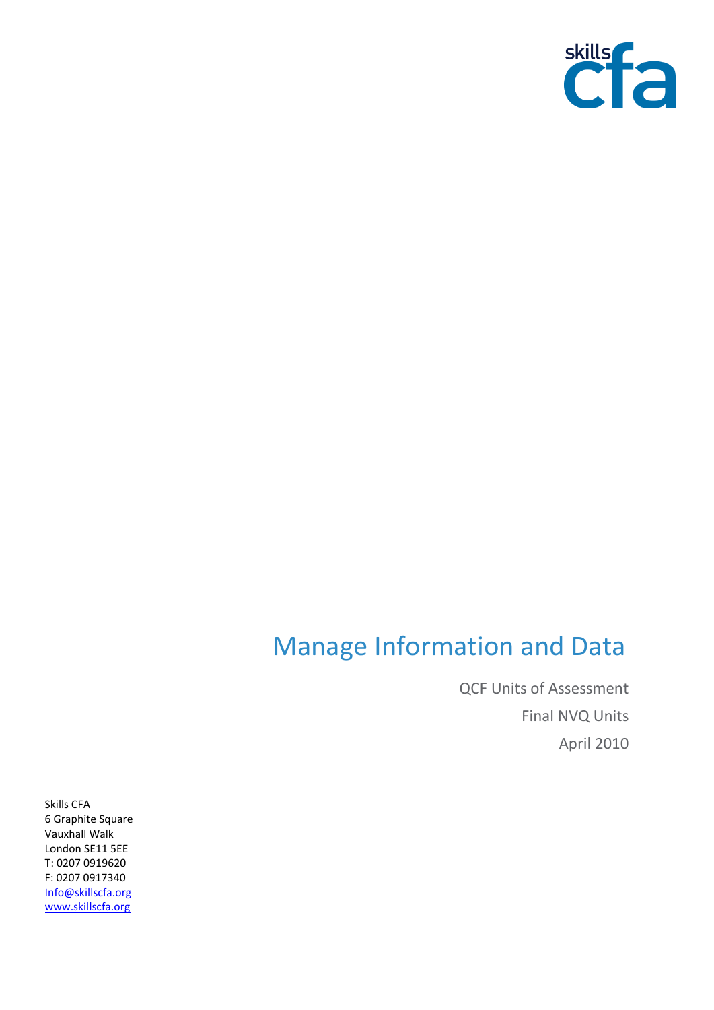

## Manage Information and Data

QCF Units of Assessment Final NVQ Units April 2010

Skills CFA 6 Graphite Square Vauxhall Walk London SE11 5EE T: 0207 0919620 F: 0207 0917340 [Info@skillscfa.org](mailto:Info@skillscfa.org) [www.skillscfa.org](http://www.skillscfa.org/)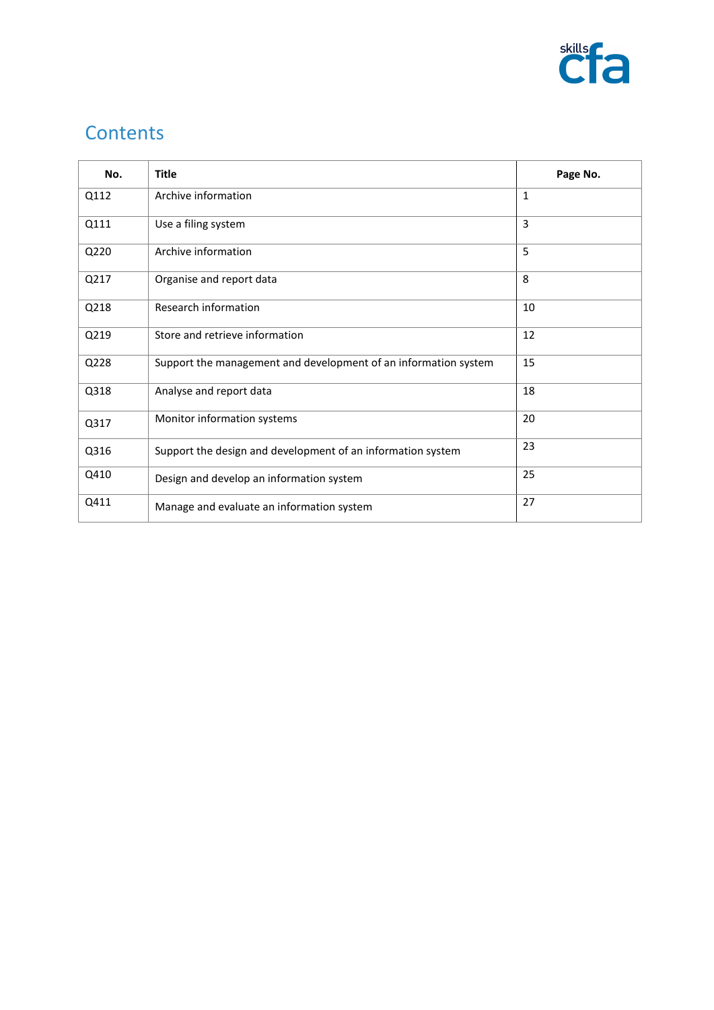

## **Contents**

| No.  | <b>Title</b>                                                    | Page No. |
|------|-----------------------------------------------------------------|----------|
| Q112 | Archive information                                             | 1        |
| Q111 | Use a filing system                                             | 3        |
| Q220 | Archive information                                             | 5        |
| Q217 | Organise and report data                                        | 8        |
| Q218 | Research information                                            | 10       |
| Q219 | Store and retrieve information                                  | 12       |
| Q228 | Support the management and development of an information system | 15       |
| Q318 | Analyse and report data                                         | 18       |
| Q317 | Monitor information systems                                     | 20       |
| Q316 | Support the design and development of an information system     | 23       |
| Q410 | Design and develop an information system                        | 25       |
| Q411 | Manage and evaluate an information system                       | 27       |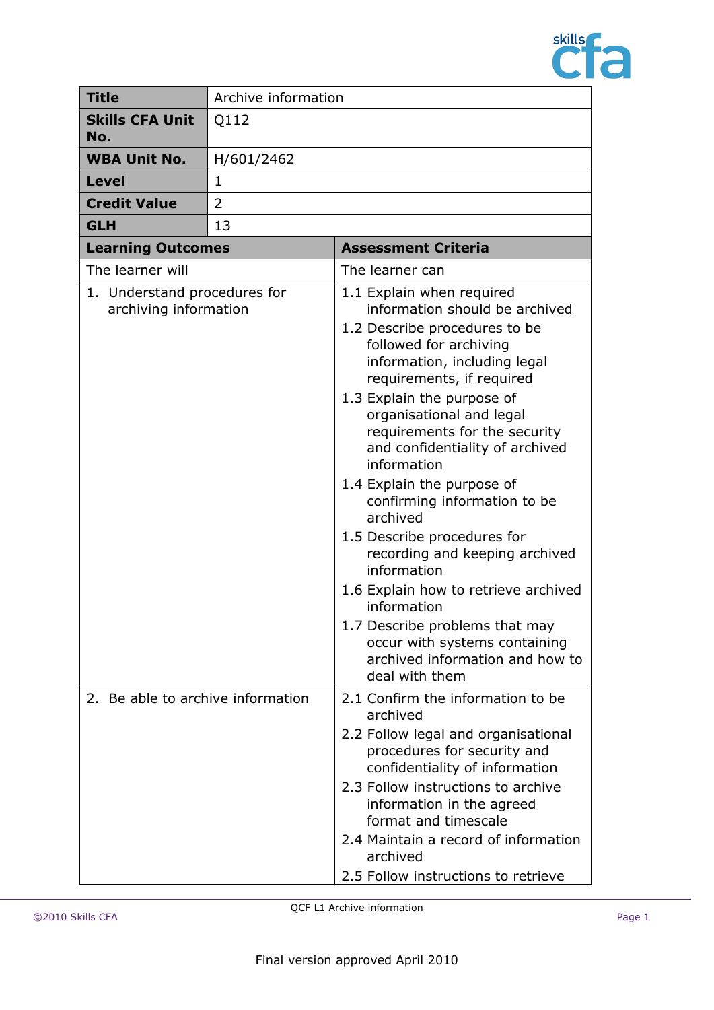

| <b>Title</b>                                                                                                           | Archive information |                                                                                                                                                                                                                                                                                                                                                                                                                                                                                                                                                                                                                                                                                                                                                                                                                                                                                                                                                                                                                          |  |
|------------------------------------------------------------------------------------------------------------------------|---------------------|--------------------------------------------------------------------------------------------------------------------------------------------------------------------------------------------------------------------------------------------------------------------------------------------------------------------------------------------------------------------------------------------------------------------------------------------------------------------------------------------------------------------------------------------------------------------------------------------------------------------------------------------------------------------------------------------------------------------------------------------------------------------------------------------------------------------------------------------------------------------------------------------------------------------------------------------------------------------------------------------------------------------------|--|
| <b>Skills CFA Unit</b><br>No.                                                                                          | Q112                |                                                                                                                                                                                                                                                                                                                                                                                                                                                                                                                                                                                                                                                                                                                                                                                                                                                                                                                                                                                                                          |  |
| <b>WBA Unit No.</b>                                                                                                    | H/601/2462          |                                                                                                                                                                                                                                                                                                                                                                                                                                                                                                                                                                                                                                                                                                                                                                                                                                                                                                                                                                                                                          |  |
| <b>Level</b>                                                                                                           | $\mathbf{1}$        |                                                                                                                                                                                                                                                                                                                                                                                                                                                                                                                                                                                                                                                                                                                                                                                                                                                                                                                                                                                                                          |  |
| <b>Credit Value</b>                                                                                                    | $\overline{2}$      |                                                                                                                                                                                                                                                                                                                                                                                                                                                                                                                                                                                                                                                                                                                                                                                                                                                                                                                                                                                                                          |  |
| <b>GLH</b>                                                                                                             | 13                  |                                                                                                                                                                                                                                                                                                                                                                                                                                                                                                                                                                                                                                                                                                                                                                                                                                                                                                                                                                                                                          |  |
|                                                                                                                        |                     | <b>Assessment Criteria</b>                                                                                                                                                                                                                                                                                                                                                                                                                                                                                                                                                                                                                                                                                                                                                                                                                                                                                                                                                                                               |  |
| The learner will                                                                                                       |                     | The learner can                                                                                                                                                                                                                                                                                                                                                                                                                                                                                                                                                                                                                                                                                                                                                                                                                                                                                                                                                                                                          |  |
| <b>Learning Outcomes</b><br>1. Understand procedures for<br>archiving information<br>2. Be able to archive information |                     | 1.1 Explain when required<br>information should be archived<br>1.2 Describe procedures to be<br>followed for archiving<br>information, including legal<br>requirements, if required<br>1.3 Explain the purpose of<br>organisational and legal<br>requirements for the security<br>and confidentiality of archived<br>information<br>1.4 Explain the purpose of<br>confirming information to be<br>archived<br>1.5 Describe procedures for<br>recording and keeping archived<br>information<br>1.6 Explain how to retrieve archived<br>information<br>1.7 Describe problems that may<br>occur with systems containing<br>archived information and how to<br>deal with them<br>2.1 Confirm the information to be<br>archived<br>2.2 Follow legal and organisational<br>procedures for security and<br>confidentiality of information<br>2.3 Follow instructions to archive<br>information in the agreed<br>format and timescale<br>2.4 Maintain a record of information<br>archived<br>2.5 Follow instructions to retrieve |  |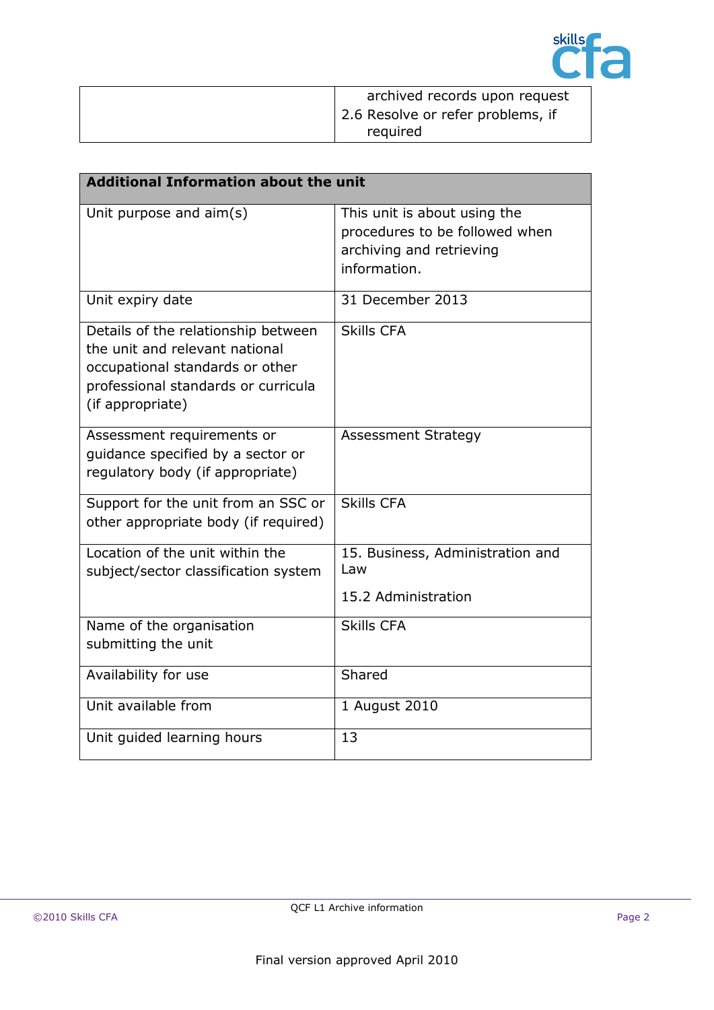

| archived records upon request     |
|-----------------------------------|
| 2.6 Resolve or refer problems, if |
| required                          |

| <b>Additional Information about the unit</b>                                                                                                                        |                                                                                                            |  |
|---------------------------------------------------------------------------------------------------------------------------------------------------------------------|------------------------------------------------------------------------------------------------------------|--|
| Unit purpose and $aim(s)$                                                                                                                                           | This unit is about using the<br>procedures to be followed when<br>archiving and retrieving<br>information. |  |
| Unit expiry date                                                                                                                                                    | 31 December 2013                                                                                           |  |
| Details of the relationship between<br>the unit and relevant national<br>occupational standards or other<br>professional standards or curricula<br>(if appropriate) | <b>Skills CFA</b>                                                                                          |  |
| Assessment requirements or<br>guidance specified by a sector or<br>regulatory body (if appropriate)                                                                 | <b>Assessment Strategy</b>                                                                                 |  |
| Support for the unit from an SSC or<br>other appropriate body (if required)                                                                                         | <b>Skills CFA</b>                                                                                          |  |
| Location of the unit within the<br>subject/sector classification system                                                                                             | 15. Business, Administration and<br>Law<br>15.2 Administration                                             |  |
| Name of the organisation<br>submitting the unit                                                                                                                     | <b>Skills CFA</b>                                                                                          |  |
| Availability for use                                                                                                                                                | Shared                                                                                                     |  |
| Unit available from                                                                                                                                                 | 1 August 2010                                                                                              |  |
| Unit guided learning hours                                                                                                                                          | 13                                                                                                         |  |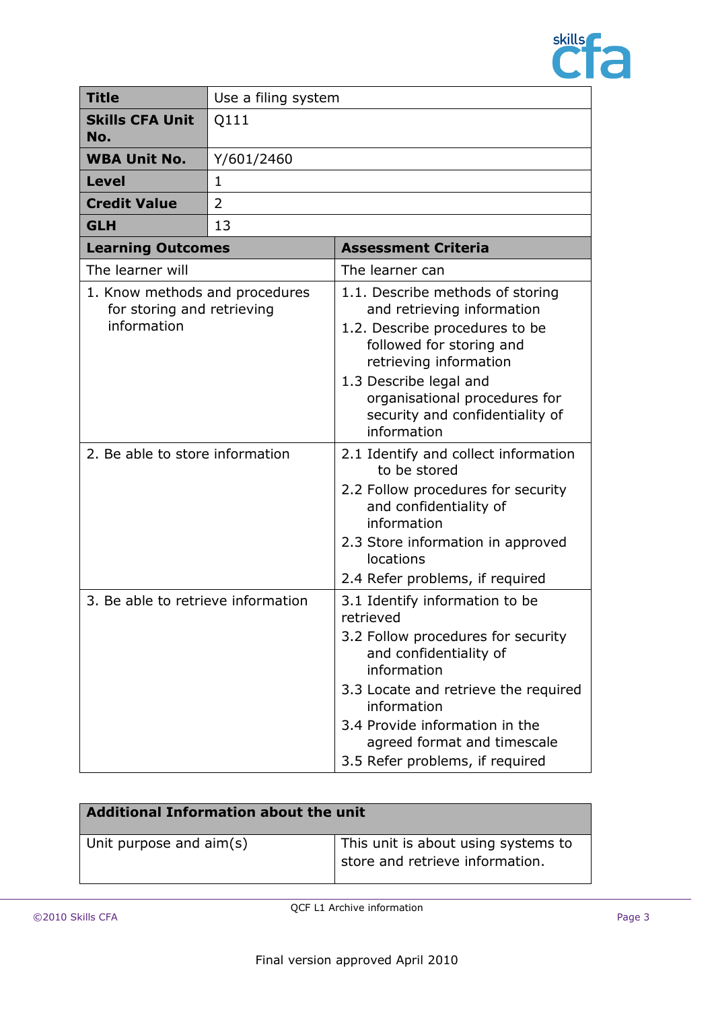

| <b>Title</b>                                                                | Use a filing system |                                                                                                                                                                                                                                                                                       |
|-----------------------------------------------------------------------------|---------------------|---------------------------------------------------------------------------------------------------------------------------------------------------------------------------------------------------------------------------------------------------------------------------------------|
| <b>Skills CFA Unit</b><br>No.                                               | Q111                |                                                                                                                                                                                                                                                                                       |
| <b>WBA Unit No.</b>                                                         | Y/601/2460          |                                                                                                                                                                                                                                                                                       |
| <b>Level</b>                                                                | $\mathbf{1}$        |                                                                                                                                                                                                                                                                                       |
| <b>Credit Value</b>                                                         | 2                   |                                                                                                                                                                                                                                                                                       |
| <b>GLH</b>                                                                  | 13                  |                                                                                                                                                                                                                                                                                       |
| <b>Learning Outcomes</b>                                                    |                     | <b>Assessment Criteria</b>                                                                                                                                                                                                                                                            |
| The learner will                                                            |                     | The learner can                                                                                                                                                                                                                                                                       |
| 1. Know methods and procedures<br>for storing and retrieving<br>information |                     | 1.1. Describe methods of storing<br>and retrieving information<br>1.2. Describe procedures to be<br>followed for storing and<br>retrieving information<br>1.3 Describe legal and<br>organisational procedures for<br>security and confidentiality of<br>information                   |
| 2. Be able to store information                                             |                     | 2.1 Identify and collect information<br>to be stored<br>2.2 Follow procedures for security<br>and confidentiality of<br>information<br>2.3 Store information in approved<br><b>locations</b><br>2.4 Refer problems, if required                                                       |
| 3. Be able to retrieve information                                          |                     | 3.1 Identify information to be<br>retrieved<br>3.2 Follow procedures for security<br>and confidentiality of<br>information<br>3.3 Locate and retrieve the required<br>information<br>3.4 Provide information in the<br>agreed format and timescale<br>3.5 Refer problems, if required |

| <b>Additional Information about the unit</b> |                                                                        |  |
|----------------------------------------------|------------------------------------------------------------------------|--|
| Unit purpose and aim(s)                      | This unit is about using systems to<br>store and retrieve information. |  |
|                                              |                                                                        |  |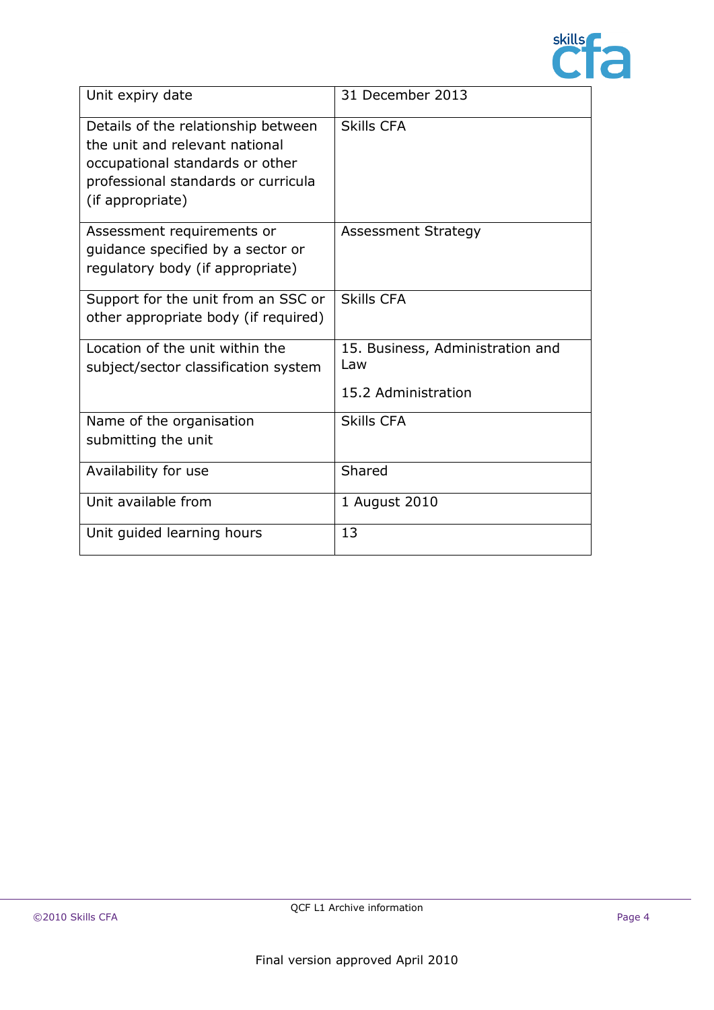

| Unit expiry date                                                                                                                                                    | 31 December 2013                                               |
|---------------------------------------------------------------------------------------------------------------------------------------------------------------------|----------------------------------------------------------------|
| Details of the relationship between<br>the unit and relevant national<br>occupational standards or other<br>professional standards or curricula<br>(if appropriate) | <b>Skills CFA</b>                                              |
| Assessment requirements or<br>guidance specified by a sector or<br>regulatory body (if appropriate)                                                                 | <b>Assessment Strategy</b>                                     |
| Support for the unit from an SSC or<br>other appropriate body (if required)                                                                                         | <b>Skills CFA</b>                                              |
| Location of the unit within the<br>subject/sector classification system                                                                                             | 15. Business, Administration and<br>Law<br>15.2 Administration |
| Name of the organisation<br>submitting the unit                                                                                                                     | <b>Skills CFA</b>                                              |
| Availability for use                                                                                                                                                | Shared                                                         |
| Unit available from                                                                                                                                                 | 1 August 2010                                                  |
| Unit guided learning hours                                                                                                                                          | 13                                                             |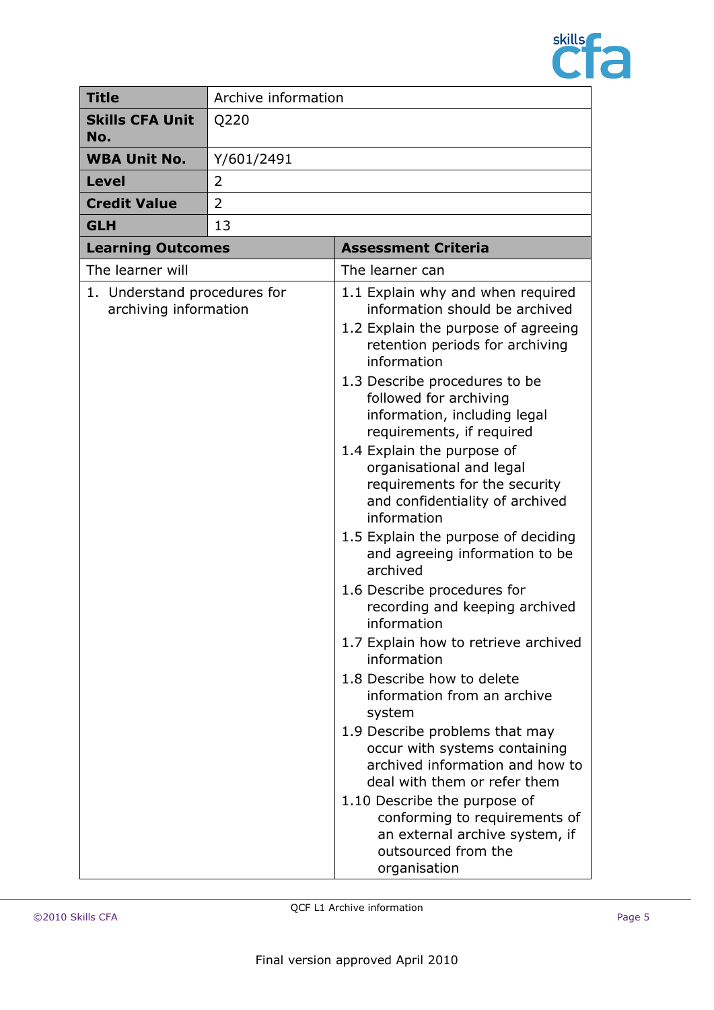

| <b>Title</b>                                          | Archive information |                                                                                                                                                                                                                                                                                                                                                                                                                                                                                                                                                                                                                                                                                                                                                                                                                                                                                                                                                                                                                      |
|-------------------------------------------------------|---------------------|----------------------------------------------------------------------------------------------------------------------------------------------------------------------------------------------------------------------------------------------------------------------------------------------------------------------------------------------------------------------------------------------------------------------------------------------------------------------------------------------------------------------------------------------------------------------------------------------------------------------------------------------------------------------------------------------------------------------------------------------------------------------------------------------------------------------------------------------------------------------------------------------------------------------------------------------------------------------------------------------------------------------|
| <b>Skills CFA Unit</b><br>No.                         | Q220                |                                                                                                                                                                                                                                                                                                                                                                                                                                                                                                                                                                                                                                                                                                                                                                                                                                                                                                                                                                                                                      |
| <b>WBA Unit No.</b>                                   | Y/601/2491          |                                                                                                                                                                                                                                                                                                                                                                                                                                                                                                                                                                                                                                                                                                                                                                                                                                                                                                                                                                                                                      |
| <b>Level</b>                                          | 2                   |                                                                                                                                                                                                                                                                                                                                                                                                                                                                                                                                                                                                                                                                                                                                                                                                                                                                                                                                                                                                                      |
| <b>Credit Value</b>                                   | 2                   |                                                                                                                                                                                                                                                                                                                                                                                                                                                                                                                                                                                                                                                                                                                                                                                                                                                                                                                                                                                                                      |
| <b>GLH</b>                                            | 13                  |                                                                                                                                                                                                                                                                                                                                                                                                                                                                                                                                                                                                                                                                                                                                                                                                                                                                                                                                                                                                                      |
| <b>Learning Outcomes</b>                              |                     | <b>Assessment Criteria</b>                                                                                                                                                                                                                                                                                                                                                                                                                                                                                                                                                                                                                                                                                                                                                                                                                                                                                                                                                                                           |
| The learner will                                      |                     | The learner can                                                                                                                                                                                                                                                                                                                                                                                                                                                                                                                                                                                                                                                                                                                                                                                                                                                                                                                                                                                                      |
| 1. Understand procedures for<br>archiving information |                     | 1.1 Explain why and when required<br>information should be archived<br>1.2 Explain the purpose of agreeing<br>retention periods for archiving<br>information<br>1.3 Describe procedures to be<br>followed for archiving<br>information, including legal<br>requirements, if required<br>1.4 Explain the purpose of<br>organisational and legal<br>requirements for the security<br>and confidentiality of archived<br>information<br>1.5 Explain the purpose of deciding<br>and agreeing information to be<br>archived<br>1.6 Describe procedures for<br>recording and keeping archived<br>information<br>1.7 Explain how to retrieve archived<br>information<br>1.8 Describe how to delete<br>information from an archive<br>system<br>1.9 Describe problems that may<br>occur with systems containing<br>archived information and how to<br>deal with them or refer them<br>1.10 Describe the purpose of<br>conforming to requirements of<br>an external archive system, if<br>outsourced from the<br>organisation |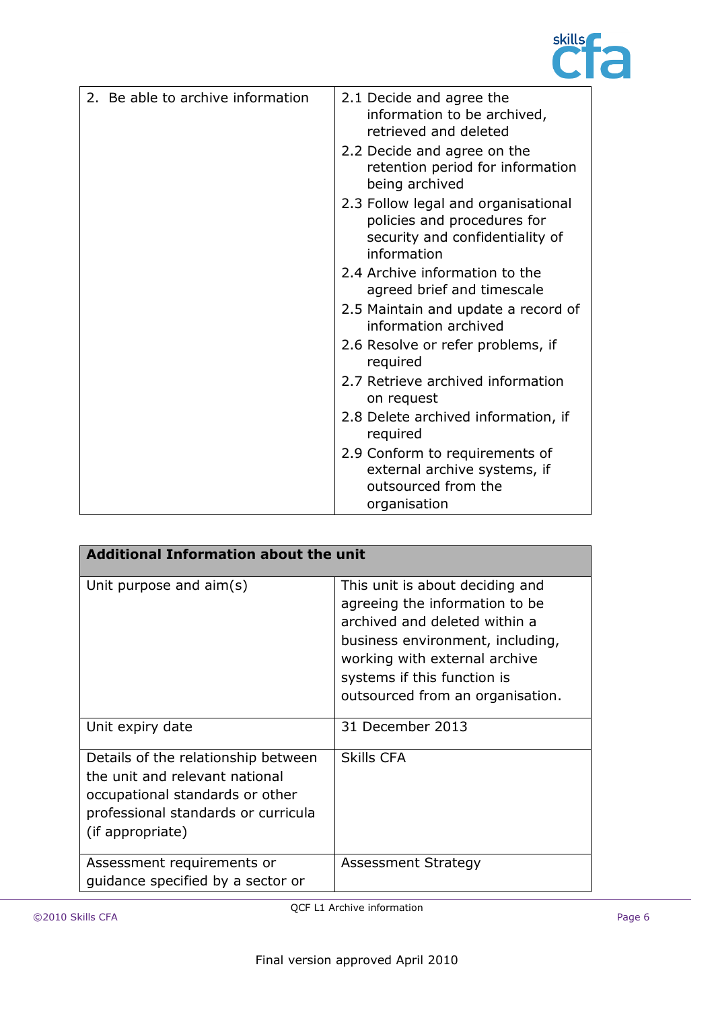

| 2. Be able to archive information | 2.1 Decide and agree the<br>information to be archived,<br>retrieved and deleted                                     |
|-----------------------------------|----------------------------------------------------------------------------------------------------------------------|
|                                   | 2.2 Decide and agree on the<br>retention period for information<br>being archived                                    |
|                                   | 2.3 Follow legal and organisational<br>policies and procedures for<br>security and confidentiality of<br>information |
|                                   | 2.4 Archive information to the<br>agreed brief and timescale                                                         |
|                                   | 2.5 Maintain and update a record of<br>information archived                                                          |
|                                   | 2.6 Resolve or refer problems, if<br>required                                                                        |
|                                   | 2.7 Retrieve archived information<br>on request                                                                      |
|                                   | 2.8 Delete archived information, if<br>required                                                                      |
|                                   | 2.9 Conform to requirements of<br>external archive systems, if<br>outsourced from the<br>organisation                |

| <b>Additional Information about the unit</b>                                                                                                                        |                                                                                                                                                                                                                                            |  |
|---------------------------------------------------------------------------------------------------------------------------------------------------------------------|--------------------------------------------------------------------------------------------------------------------------------------------------------------------------------------------------------------------------------------------|--|
| Unit purpose and $\text{aim}(s)$                                                                                                                                    | This unit is about deciding and<br>agreeing the information to be<br>archived and deleted within a<br>business environment, including,<br>working with external archive<br>systems if this function is<br>outsourced from an organisation. |  |
| Unit expiry date                                                                                                                                                    | 31 December 2013                                                                                                                                                                                                                           |  |
| Details of the relationship between<br>the unit and relevant national<br>occupational standards or other<br>professional standards or curricula<br>(if appropriate) | Skills CFA                                                                                                                                                                                                                                 |  |
| Assessment requirements or<br>quidance specified by a sector or                                                                                                     | Assessment Strategy                                                                                                                                                                                                                        |  |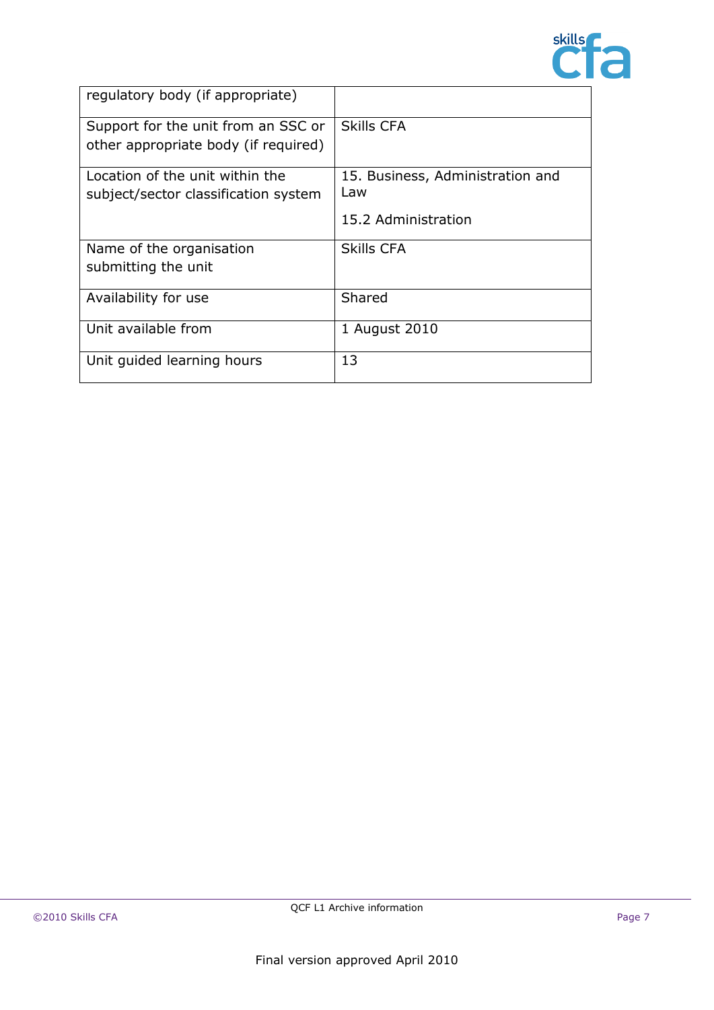

| regulatory body (if appropriate)     |                                  |
|--------------------------------------|----------------------------------|
| Support for the unit from an SSC or  | Skills CFA                       |
| other appropriate body (if required) |                                  |
| Location of the unit within the      | 15. Business, Administration and |
| subject/sector classification system | Law                              |
|                                      | 15.2 Administration              |
| Name of the organisation             | <b>Skills CFA</b>                |
| submitting the unit                  |                                  |
| Availability for use                 | Shared                           |
| Unit available from                  | 1 August 2010                    |
| Unit guided learning hours           | 13                               |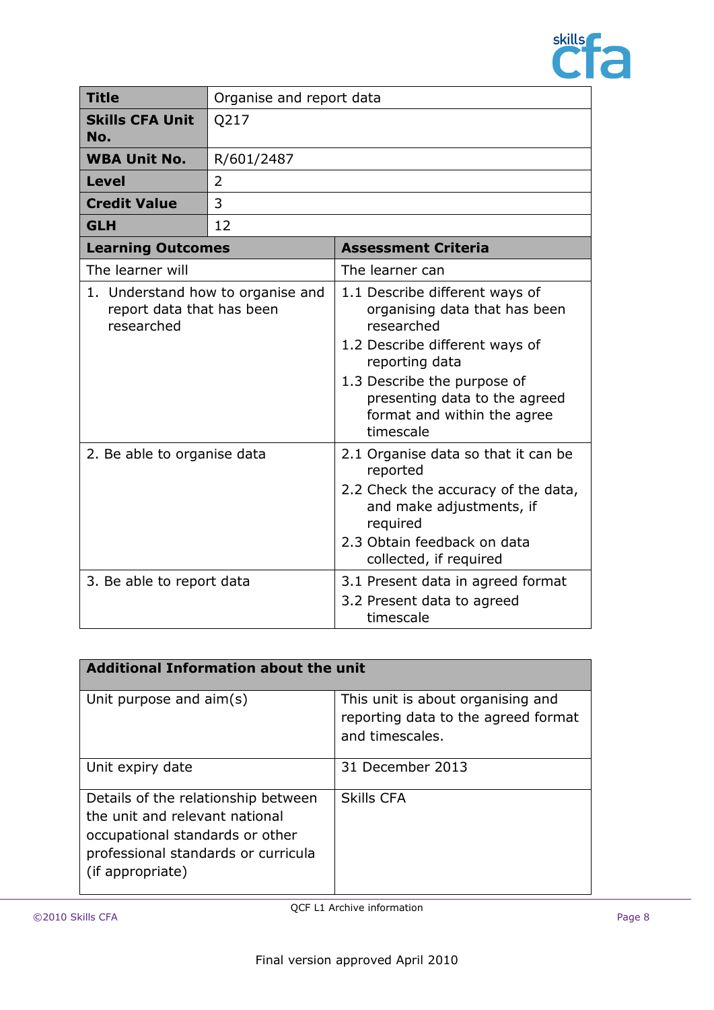

| <b>Title</b>                                                                 | Organise and report data |                                                                                                                                                                                                                                               |
|------------------------------------------------------------------------------|--------------------------|-----------------------------------------------------------------------------------------------------------------------------------------------------------------------------------------------------------------------------------------------|
| <b>Skills CFA Unit</b><br>No.                                                | Q217                     |                                                                                                                                                                                                                                               |
| <b>WBA Unit No.</b>                                                          | R/601/2487               |                                                                                                                                                                                                                                               |
| <b>Level</b>                                                                 | $\overline{2}$           |                                                                                                                                                                                                                                               |
| <b>Credit Value</b>                                                          | 3                        |                                                                                                                                                                                                                                               |
| <b>GLH</b>                                                                   | 12                       |                                                                                                                                                                                                                                               |
| <b>Learning Outcomes</b>                                                     |                          | <b>Assessment Criteria</b>                                                                                                                                                                                                                    |
| The learner will                                                             |                          | The learner can                                                                                                                                                                                                                               |
| 1. Understand how to organise and<br>report data that has been<br>researched |                          | 1.1 Describe different ways of<br>organising data that has been<br>researched<br>1.2 Describe different ways of<br>reporting data<br>1.3 Describe the purpose of<br>presenting data to the agreed<br>format and within the agree<br>timescale |
| 2. Be able to organise data                                                  |                          | 2.1 Organise data so that it can be<br>reported<br>2.2 Check the accuracy of the data,<br>and make adjustments, if<br>required<br>2.3 Obtain feedback on data<br>collected, if required                                                       |
| 3. Be able to report data                                                    |                          | 3.1 Present data in agreed format<br>3.2 Present data to agreed<br>timescale                                                                                                                                                                  |

| Additional Information about the unit                                                                                                                               |                                                                                             |  |
|---------------------------------------------------------------------------------------------------------------------------------------------------------------------|---------------------------------------------------------------------------------------------|--|
| Unit purpose and aim(s)                                                                                                                                             | This unit is about organising and<br>reporting data to the agreed format<br>and timescales. |  |
| Unit expiry date                                                                                                                                                    | 31 December 2013                                                                            |  |
| Details of the relationship between<br>the unit and relevant national<br>occupational standards or other<br>professional standards or curricula<br>(if appropriate) | <b>Skills CFA</b>                                                                           |  |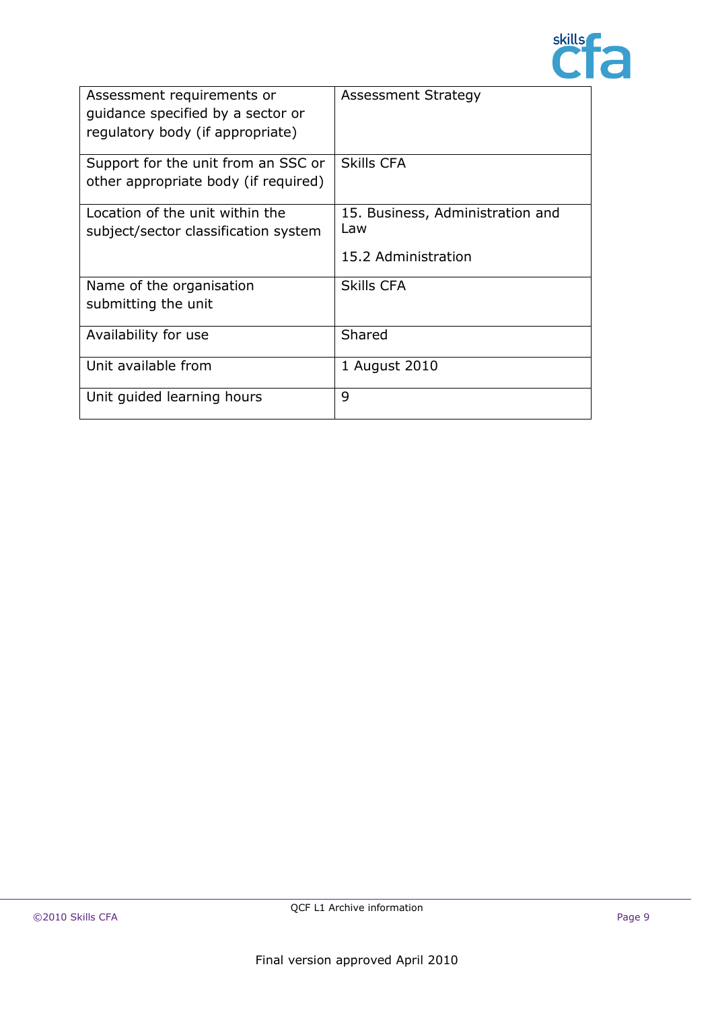

| Assessment requirements or<br>quidance specified by a sector or<br>regulatory body (if appropriate) | <b>Assessment Strategy</b>                                     |
|-----------------------------------------------------------------------------------------------------|----------------------------------------------------------------|
| Support for the unit from an SSC or<br>other appropriate body (if required)                         | <b>Skills CFA</b>                                              |
| Location of the unit within the<br>subject/sector classification system                             | 15. Business, Administration and<br>Law<br>15.2 Administration |
| Name of the organisation<br>submitting the unit                                                     | <b>Skills CFA</b>                                              |
| Availability for use                                                                                | Shared                                                         |
| Unit available from                                                                                 | 1 August 2010                                                  |
| Unit guided learning hours                                                                          | 9                                                              |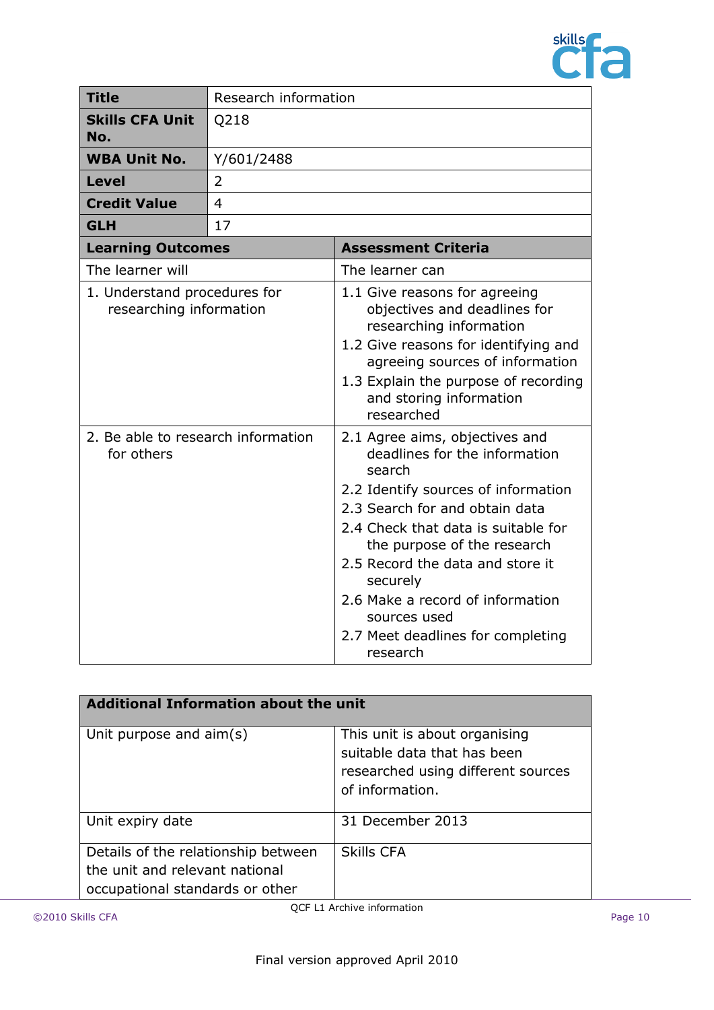

| <b>Title</b>                                            | Research information |                                                                                                                                                                                                                                                                                                                                                                               |
|---------------------------------------------------------|----------------------|-------------------------------------------------------------------------------------------------------------------------------------------------------------------------------------------------------------------------------------------------------------------------------------------------------------------------------------------------------------------------------|
| <b>Skills CFA Unit</b><br>No.                           | Q218                 |                                                                                                                                                                                                                                                                                                                                                                               |
| <b>WBA Unit No.</b>                                     | Y/601/2488           |                                                                                                                                                                                                                                                                                                                                                                               |
| <b>Level</b>                                            | 2                    |                                                                                                                                                                                                                                                                                                                                                                               |
| <b>Credit Value</b>                                     | $\overline{4}$       |                                                                                                                                                                                                                                                                                                                                                                               |
| <b>GLH</b>                                              | 17                   |                                                                                                                                                                                                                                                                                                                                                                               |
| <b>Learning Outcomes</b>                                |                      | <b>Assessment Criteria</b>                                                                                                                                                                                                                                                                                                                                                    |
| The learner will                                        |                      | The learner can                                                                                                                                                                                                                                                                                                                                                               |
| 1. Understand procedures for<br>researching information |                      | 1.1 Give reasons for agreeing<br>objectives and deadlines for<br>researching information<br>1.2 Give reasons for identifying and<br>agreeing sources of information<br>1.3 Explain the purpose of recording<br>and storing information<br>researched                                                                                                                          |
| 2. Be able to research information<br>for others        |                      | 2.1 Agree aims, objectives and<br>deadlines for the information<br>search<br>2.2 Identify sources of information<br>2.3 Search for and obtain data<br>2.4 Check that data is suitable for<br>the purpose of the research<br>2.5 Record the data and store it<br>securely<br>2.6 Make a record of information<br>sources used<br>2.7 Meet deadlines for completing<br>research |

| <b>Additional Information about the unit</b>                                                             |                                                                                                                       |  |
|----------------------------------------------------------------------------------------------------------|-----------------------------------------------------------------------------------------------------------------------|--|
| Unit purpose and aim(s)                                                                                  | This unit is about organising<br>suitable data that has been<br>researched using different sources<br>of information. |  |
| Unit expiry date                                                                                         | 31 December 2013                                                                                                      |  |
| Details of the relationship between<br>the unit and relevant national<br>occupational standards or other | <b>Skills CFA</b>                                                                                                     |  |

QCF L1 Archive information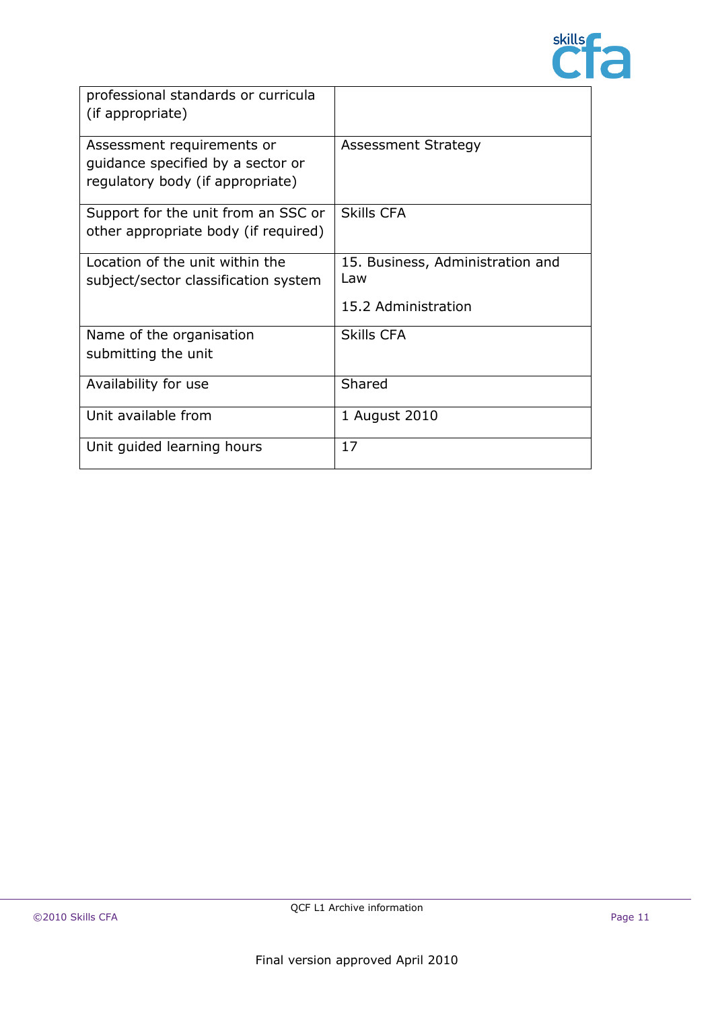

| professional standards or curricula<br>(if appropriate)                                             |                                                                 |
|-----------------------------------------------------------------------------------------------------|-----------------------------------------------------------------|
| Assessment requirements or<br>guidance specified by a sector or<br>regulatory body (if appropriate) | Assessment Strategy                                             |
| Support for the unit from an SSC or<br>other appropriate body (if required)                         | <b>Skills CFA</b>                                               |
| Location of the unit within the<br>subject/sector classification system                             | 15. Business, Administration and<br>l aw<br>15.2 Administration |
| Name of the organisation<br>submitting the unit                                                     | <b>Skills CFA</b>                                               |
| Availability for use                                                                                | Shared                                                          |
| Unit available from                                                                                 | 1 August 2010                                                   |
| Unit guided learning hours                                                                          | 17                                                              |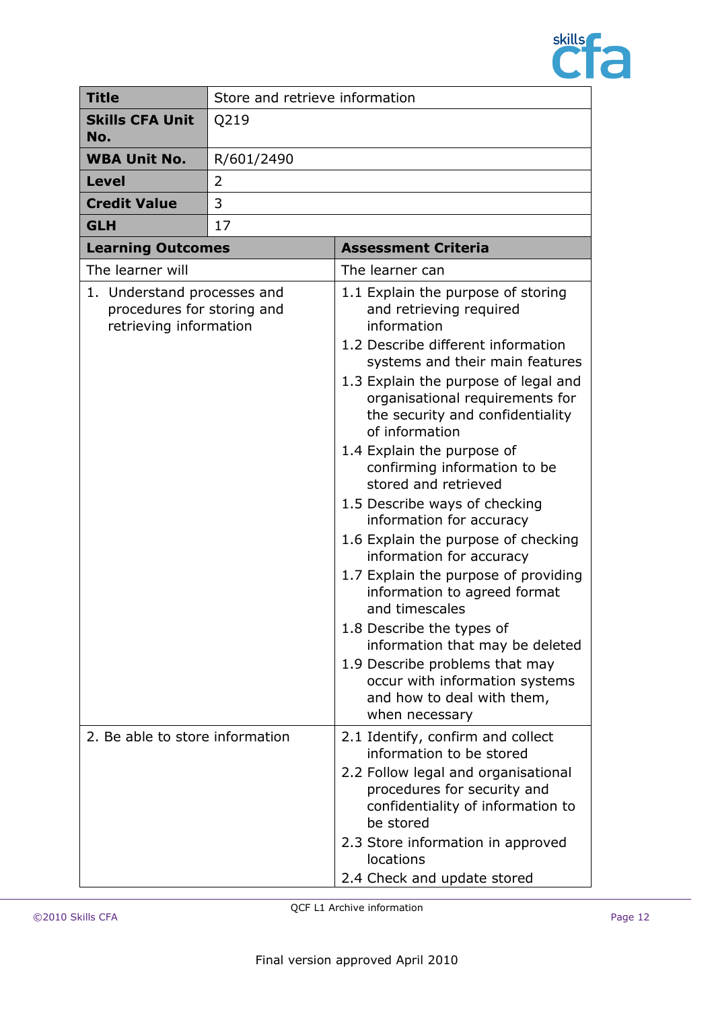

| <b>Title</b>                                                                        | Store and retrieve information |                                                                                                                                                                                                                                                                                                                                                                                                                                                                                                                                                                                                                                                                                                                                                                                            |
|-------------------------------------------------------------------------------------|--------------------------------|--------------------------------------------------------------------------------------------------------------------------------------------------------------------------------------------------------------------------------------------------------------------------------------------------------------------------------------------------------------------------------------------------------------------------------------------------------------------------------------------------------------------------------------------------------------------------------------------------------------------------------------------------------------------------------------------------------------------------------------------------------------------------------------------|
| <b>Skills CFA Unit</b><br>No.                                                       | Q219                           |                                                                                                                                                                                                                                                                                                                                                                                                                                                                                                                                                                                                                                                                                                                                                                                            |
| <b>WBA Unit No.</b>                                                                 | R/601/2490                     |                                                                                                                                                                                                                                                                                                                                                                                                                                                                                                                                                                                                                                                                                                                                                                                            |
| <b>Level</b>                                                                        | 2                              |                                                                                                                                                                                                                                                                                                                                                                                                                                                                                                                                                                                                                                                                                                                                                                                            |
| <b>Credit Value</b>                                                                 | 3                              |                                                                                                                                                                                                                                                                                                                                                                                                                                                                                                                                                                                                                                                                                                                                                                                            |
| <b>GLH</b>                                                                          | 17                             |                                                                                                                                                                                                                                                                                                                                                                                                                                                                                                                                                                                                                                                                                                                                                                                            |
| <b>Learning Outcomes</b>                                                            |                                | <b>Assessment Criteria</b>                                                                                                                                                                                                                                                                                                                                                                                                                                                                                                                                                                                                                                                                                                                                                                 |
| The learner will                                                                    |                                | The learner can                                                                                                                                                                                                                                                                                                                                                                                                                                                                                                                                                                                                                                                                                                                                                                            |
| 1. Understand processes and<br>procedures for storing and<br>retrieving information |                                | 1.1 Explain the purpose of storing<br>and retrieving required<br>information<br>1.2 Describe different information<br>systems and their main features<br>1.3 Explain the purpose of legal and<br>organisational requirements for<br>the security and confidentiality<br>of information<br>1.4 Explain the purpose of<br>confirming information to be<br>stored and retrieved<br>1.5 Describe ways of checking<br>information for accuracy<br>1.6 Explain the purpose of checking<br>information for accuracy<br>1.7 Explain the purpose of providing<br>information to agreed format<br>and timescales<br>1.8 Describe the types of<br>information that may be deleted<br>1.9 Describe problems that may<br>occur with information systems<br>and how to deal with them,<br>when necessary |
| 2. Be able to store information                                                     |                                | 2.1 Identify, confirm and collect<br>information to be stored<br>2.2 Follow legal and organisational<br>procedures for security and<br>confidentiality of information to<br>be stored<br>2.3 Store information in approved<br>locations<br>2.4 Check and update stored                                                                                                                                                                                                                                                                                                                                                                                                                                                                                                                     |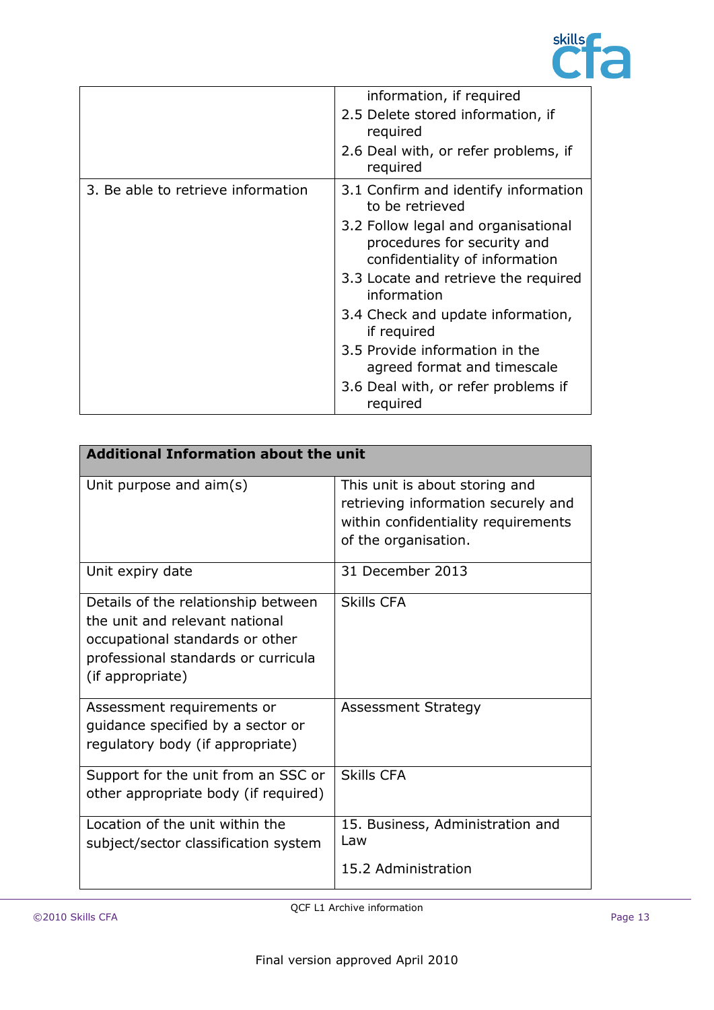

|                                    | information, if required                                                                             |
|------------------------------------|------------------------------------------------------------------------------------------------------|
|                                    | 2.5 Delete stored information, if<br>required                                                        |
|                                    | 2.6 Deal with, or refer problems, if<br>required                                                     |
| 3. Be able to retrieve information | 3.1 Confirm and identify information<br>to be retrieved                                              |
|                                    | 3.2 Follow legal and organisational<br>procedures for security and<br>confidentiality of information |
|                                    | 3.3 Locate and retrieve the required<br>information                                                  |
|                                    | 3.4 Check and update information,<br>if required                                                     |
|                                    | 3.5 Provide information in the<br>agreed format and timescale                                        |
|                                    | 3.6 Deal with, or refer problems if<br>required                                                      |

| <b>Additional Information about the unit</b>                                                                                                                        |                                                                                                                                      |
|---------------------------------------------------------------------------------------------------------------------------------------------------------------------|--------------------------------------------------------------------------------------------------------------------------------------|
| Unit purpose and aim(s)                                                                                                                                             | This unit is about storing and<br>retrieving information securely and<br>within confidentiality requirements<br>of the organisation. |
| Unit expiry date                                                                                                                                                    | 31 December 2013                                                                                                                     |
| Details of the relationship between<br>the unit and relevant national<br>occupational standards or other<br>professional standards or curricula<br>(if appropriate) | <b>Skills CFA</b>                                                                                                                    |
| Assessment requirements or<br>guidance specified by a sector or<br>regulatory body (if appropriate)                                                                 | <b>Assessment Strategy</b>                                                                                                           |
| Support for the unit from an SSC or<br>other appropriate body (if required)                                                                                         | <b>Skills CFA</b>                                                                                                                    |
| Location of the unit within the<br>subject/sector classification system                                                                                             | 15. Business, Administration and<br>Law<br>15.2 Administration                                                                       |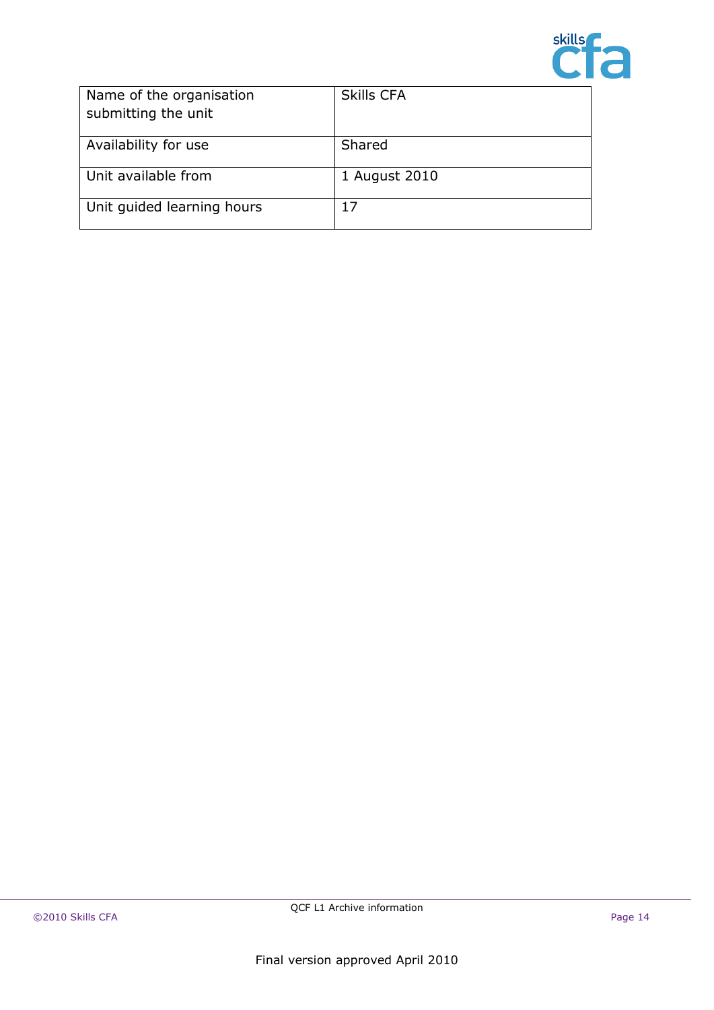

| Name of the organisation<br>submitting the unit | <b>Skills CFA</b> |
|-------------------------------------------------|-------------------|
| Availability for use                            | Shared            |
| Unit available from                             | 1 August 2010     |
| Unit guided learning hours                      |                   |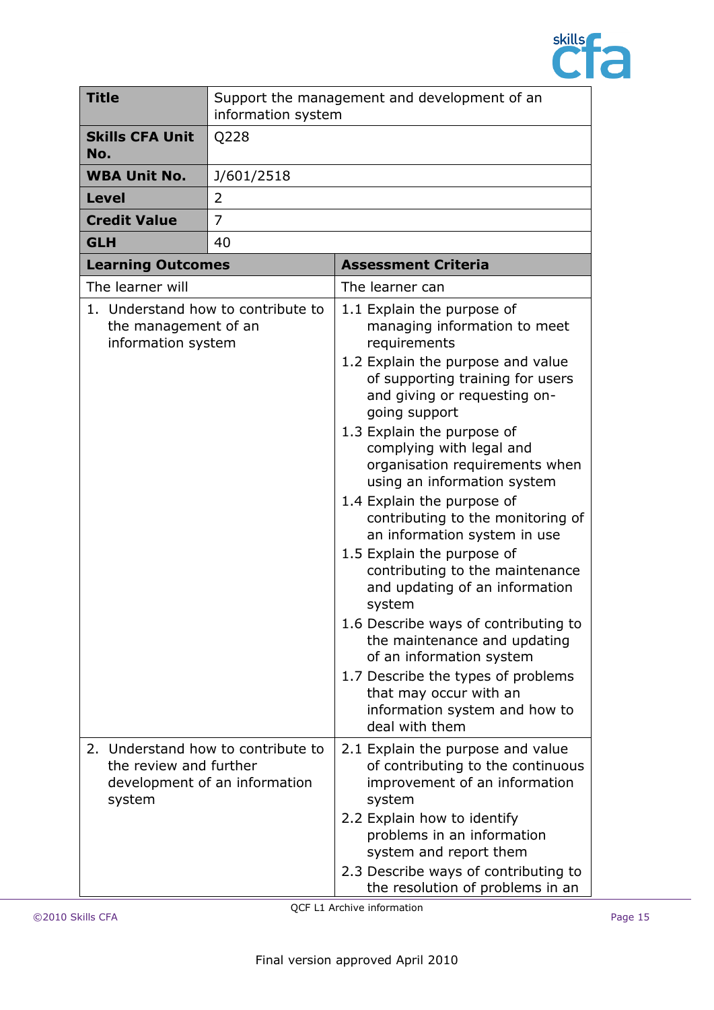

| <b>Title</b>                               | information system                                                  | Support the management and development of an                                                                                                                                                                                                                                                                                                                                                                                                                                                                                                                                                                                                                                                                                                                           |
|--------------------------------------------|---------------------------------------------------------------------|------------------------------------------------------------------------------------------------------------------------------------------------------------------------------------------------------------------------------------------------------------------------------------------------------------------------------------------------------------------------------------------------------------------------------------------------------------------------------------------------------------------------------------------------------------------------------------------------------------------------------------------------------------------------------------------------------------------------------------------------------------------------|
| <b>Skills CFA Unit</b><br>No.              | Q228                                                                |                                                                                                                                                                                                                                                                                                                                                                                                                                                                                                                                                                                                                                                                                                                                                                        |
| <b>WBA Unit No.</b>                        | J/601/2518                                                          |                                                                                                                                                                                                                                                                                                                                                                                                                                                                                                                                                                                                                                                                                                                                                                        |
| <b>Level</b>                               | 2                                                                   |                                                                                                                                                                                                                                                                                                                                                                                                                                                                                                                                                                                                                                                                                                                                                                        |
| <b>Credit Value</b>                        | $\overline{7}$                                                      |                                                                                                                                                                                                                                                                                                                                                                                                                                                                                                                                                                                                                                                                                                                                                                        |
| <b>GLH</b>                                 | 40                                                                  |                                                                                                                                                                                                                                                                                                                                                                                                                                                                                                                                                                                                                                                                                                                                                                        |
| <b>Learning Outcomes</b>                   |                                                                     | <b>Assessment Criteria</b>                                                                                                                                                                                                                                                                                                                                                                                                                                                                                                                                                                                                                                                                                                                                             |
| The learner will                           |                                                                     | The learner can                                                                                                                                                                                                                                                                                                                                                                                                                                                                                                                                                                                                                                                                                                                                                        |
| the management of an<br>information system | 1. Understand how to contribute to                                  | 1.1 Explain the purpose of<br>managing information to meet<br>requirements<br>1.2 Explain the purpose and value<br>of supporting training for users<br>and giving or requesting on-<br>going support<br>1.3 Explain the purpose of<br>complying with legal and<br>organisation requirements when<br>using an information system<br>1.4 Explain the purpose of<br>contributing to the monitoring of<br>an information system in use<br>1.5 Explain the purpose of<br>contributing to the maintenance<br>and updating of an information<br>system<br>1.6 Describe ways of contributing to<br>the maintenance and updating<br>of an information system<br>1.7 Describe the types of problems<br>that may occur with an<br>information system and how to<br>deal with them |
| the review and further<br>system           | 2. Understand how to contribute to<br>development of an information | 2.1 Explain the purpose and value<br>of contributing to the continuous<br>improvement of an information<br>system<br>2.2 Explain how to identify<br>problems in an information<br>system and report them<br>2.3 Describe ways of contributing to<br>the resolution of problems in an                                                                                                                                                                                                                                                                                                                                                                                                                                                                                   |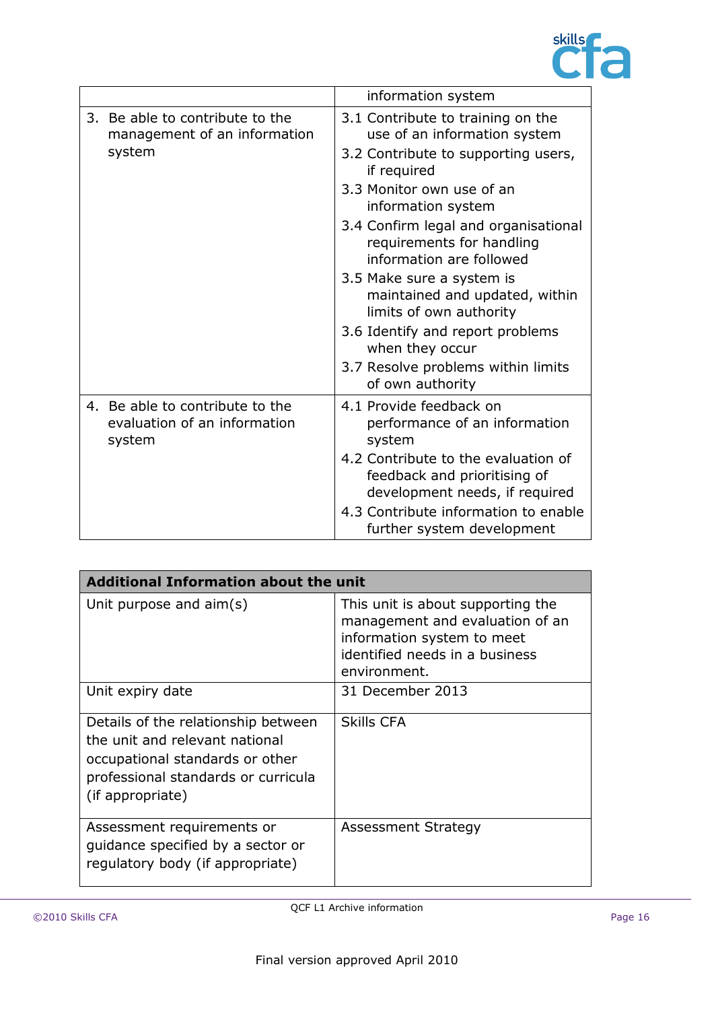

|    |                                                                           | information system                                                                                    |
|----|---------------------------------------------------------------------------|-------------------------------------------------------------------------------------------------------|
| 3. | Be able to contribute to the<br>management of an information<br>system    | 3.1 Contribute to training on the<br>use of an information system                                     |
|    |                                                                           | 3.2 Contribute to supporting users,<br>if required                                                    |
|    |                                                                           | 3.3 Monitor own use of an<br>information system                                                       |
|    |                                                                           | 3.4 Confirm legal and organisational<br>requirements for handling<br>information are followed         |
|    |                                                                           | 3.5 Make sure a system is<br>maintained and updated, within<br>limits of own authority                |
|    | 3.6 Identify and report problems<br>when they occur                       |                                                                                                       |
|    |                                                                           | 3.7 Resolve problems within limits<br>of own authority                                                |
|    | 4. Be able to contribute to the<br>evaluation of an information<br>system | 4.1 Provide feedback on<br>performance of an information<br>system                                    |
|    |                                                                           | 4.2 Contribute to the evaluation of<br>feedback and prioritising of<br>development needs, if required |
|    |                                                                           | 4.3 Contribute information to enable<br>further system development                                    |

| <b>Additional Information about the unit</b>                                                                                                                        |                                                                                                                                                      |
|---------------------------------------------------------------------------------------------------------------------------------------------------------------------|------------------------------------------------------------------------------------------------------------------------------------------------------|
| Unit purpose and aim(s)                                                                                                                                             | This unit is about supporting the<br>management and evaluation of an<br>information system to meet<br>identified needs in a business<br>environment. |
| Unit expiry date                                                                                                                                                    | 31 December 2013                                                                                                                                     |
| Details of the relationship between<br>the unit and relevant national<br>occupational standards or other<br>professional standards or curricula<br>(if appropriate) | <b>Skills CFA</b>                                                                                                                                    |
| Assessment requirements or<br>quidance specified by a sector or<br>regulatory body (if appropriate)                                                                 | <b>Assessment Strategy</b>                                                                                                                           |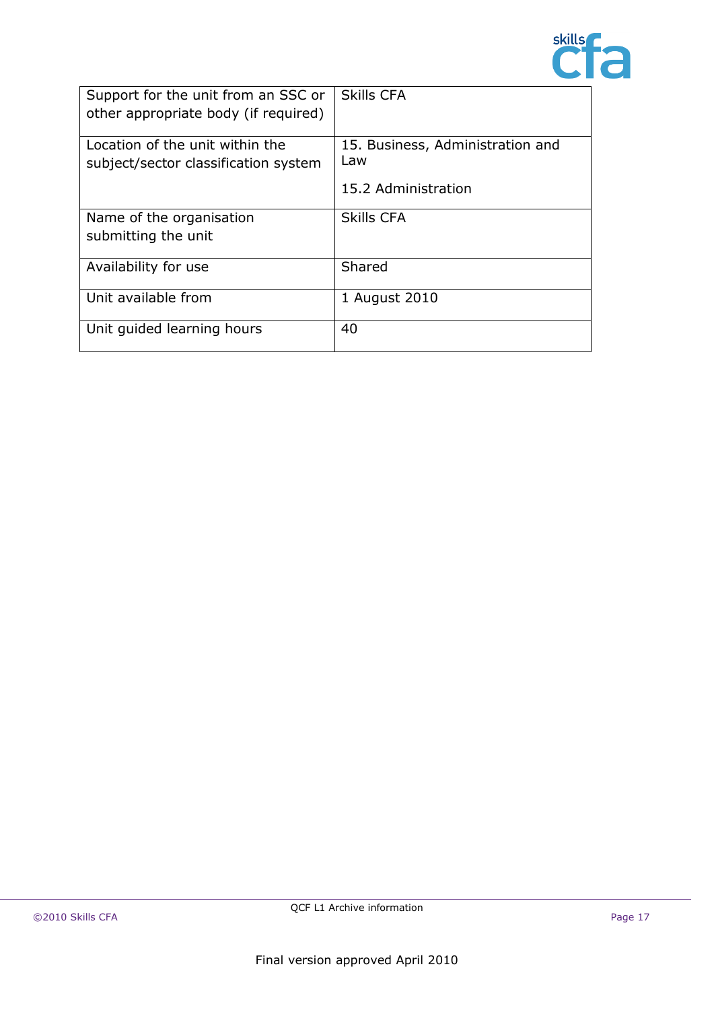

| Support for the unit from an SSC or<br>other appropriate body (if required) | <b>Skills CFA</b>                       |
|-----------------------------------------------------------------------------|-----------------------------------------|
| Location of the unit within the<br>subject/sector classification system     | 15. Business, Administration and<br>Law |
|                                                                             | 15.2 Administration                     |
| Name of the organisation<br>submitting the unit                             | <b>Skills CFA</b>                       |
| Availability for use                                                        | Shared                                  |
| Unit available from                                                         | 1 August 2010                           |
| Unit guided learning hours                                                  | 40                                      |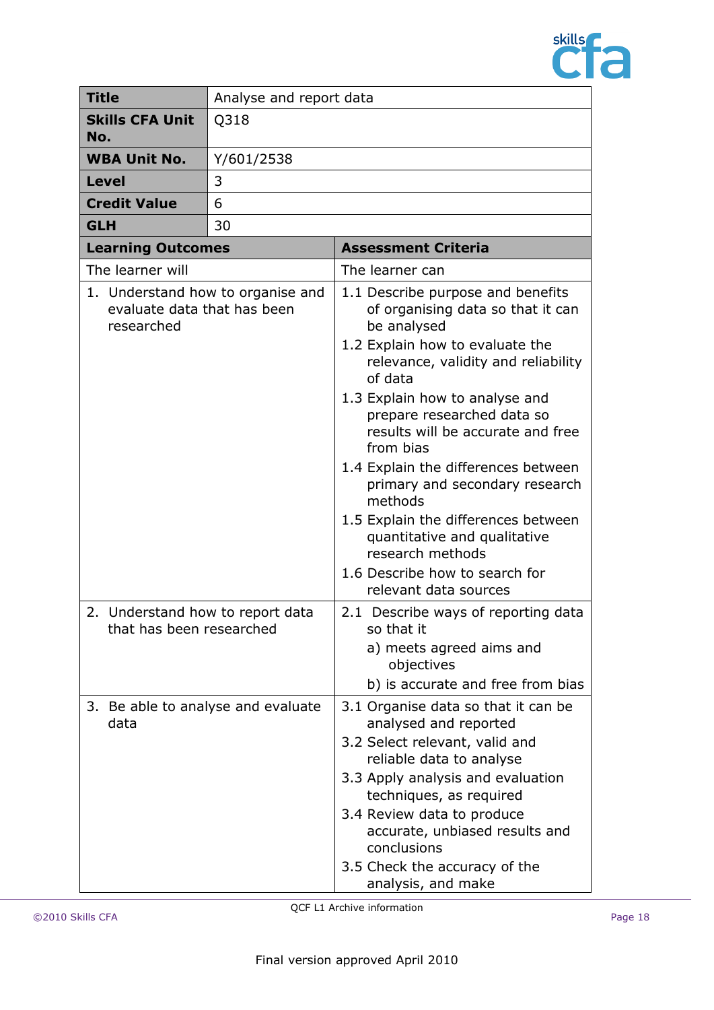

| <b>Title</b>                                                                   | Analyse and report data |                                                                                                                                                                                                                                                                                                                                                                                                                                                                                                                                        |
|--------------------------------------------------------------------------------|-------------------------|----------------------------------------------------------------------------------------------------------------------------------------------------------------------------------------------------------------------------------------------------------------------------------------------------------------------------------------------------------------------------------------------------------------------------------------------------------------------------------------------------------------------------------------|
| <b>Skills CFA Unit</b><br>No.                                                  | Q318                    |                                                                                                                                                                                                                                                                                                                                                                                                                                                                                                                                        |
| <b>WBA Unit No.</b>                                                            | Y/601/2538              |                                                                                                                                                                                                                                                                                                                                                                                                                                                                                                                                        |
| <b>Level</b>                                                                   | 3                       |                                                                                                                                                                                                                                                                                                                                                                                                                                                                                                                                        |
| <b>Credit Value</b>                                                            | 6                       |                                                                                                                                                                                                                                                                                                                                                                                                                                                                                                                                        |
| <b>GLH</b>                                                                     | 30                      |                                                                                                                                                                                                                                                                                                                                                                                                                                                                                                                                        |
| <b>Learning Outcomes</b>                                                       |                         | <b>Assessment Criteria</b>                                                                                                                                                                                                                                                                                                                                                                                                                                                                                                             |
| The learner will                                                               |                         | The learner can                                                                                                                                                                                                                                                                                                                                                                                                                                                                                                                        |
| 1. Understand how to organise and<br>evaluate data that has been<br>researched |                         | 1.1 Describe purpose and benefits<br>of organising data so that it can<br>be analysed<br>1.2 Explain how to evaluate the<br>relevance, validity and reliability<br>of data<br>1.3 Explain how to analyse and<br>prepare researched data so<br>results will be accurate and free<br>from bias<br>1.4 Explain the differences between<br>primary and secondary research<br>methods<br>1.5 Explain the differences between<br>quantitative and qualitative<br>research methods<br>1.6 Describe how to search for<br>relevant data sources |
| 2. Understand how to report data<br>that has been researched                   |                         | 2.1 Describe ways of reporting data<br>so that it<br>a) meets agreed aims and<br>objectives<br>b) is accurate and free from bias                                                                                                                                                                                                                                                                                                                                                                                                       |
| 3. Be able to analyse and evaluate<br>data                                     |                         | 3.1 Organise data so that it can be<br>analysed and reported<br>3.2 Select relevant, valid and<br>reliable data to analyse<br>3.3 Apply analysis and evaluation<br>techniques, as required<br>3.4 Review data to produce<br>accurate, unbiased results and<br>conclusions<br>3.5 Check the accuracy of the<br>analysis, and make                                                                                                                                                                                                       |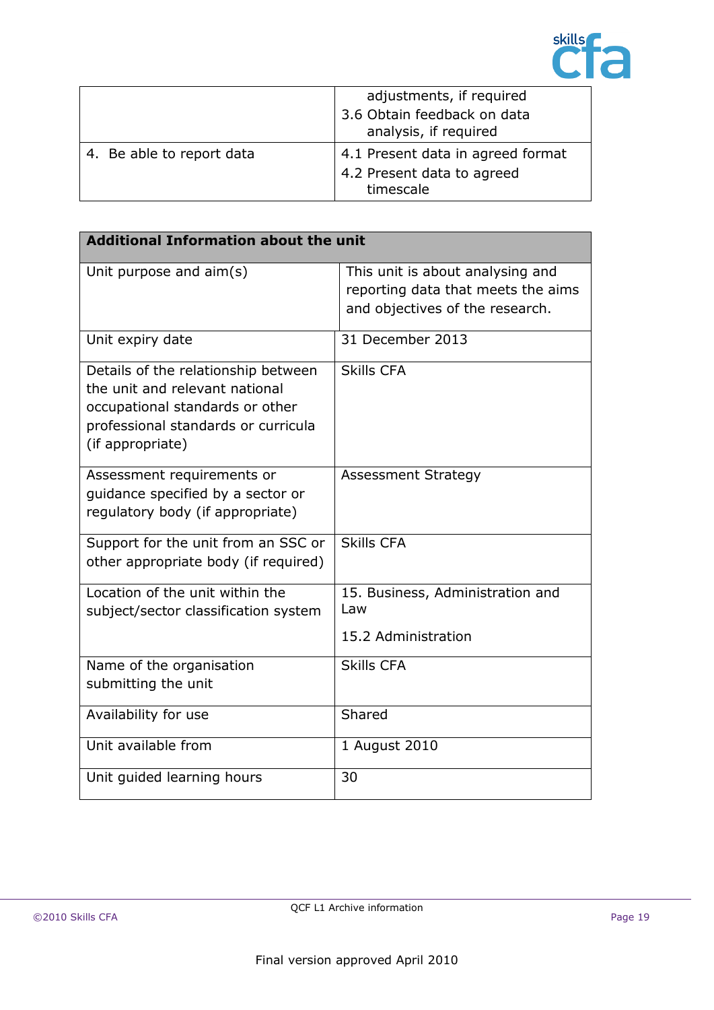

|                           | adjustments, if required                             |
|---------------------------|------------------------------------------------------|
|                           | 3.6 Obtain feedback on data<br>analysis, if required |
| 4. Be able to report data | 4.1 Present data in agreed format                    |
|                           | 4.2 Present data to agreed                           |
|                           | timescale                                            |

| <b>Additional Information about the unit</b>                                                                                                                        |                                                                                                           |
|---------------------------------------------------------------------------------------------------------------------------------------------------------------------|-----------------------------------------------------------------------------------------------------------|
| Unit purpose and aim(s)                                                                                                                                             | This unit is about analysing and<br>reporting data that meets the aims<br>and objectives of the research. |
| Unit expiry date                                                                                                                                                    | 31 December 2013                                                                                          |
| Details of the relationship between<br>the unit and relevant national<br>occupational standards or other<br>professional standards or curricula<br>(if appropriate) | <b>Skills CFA</b>                                                                                         |
| Assessment requirements or<br>quidance specified by a sector or<br>regulatory body (if appropriate)                                                                 | <b>Assessment Strategy</b>                                                                                |
| Support for the unit from an SSC or<br>other appropriate body (if required)                                                                                         | <b>Skills CFA</b>                                                                                         |
| Location of the unit within the<br>subject/sector classification system                                                                                             | 15. Business, Administration and<br>Law<br>15.2 Administration                                            |
| Name of the organisation<br>submitting the unit                                                                                                                     | <b>Skills CFA</b>                                                                                         |
| Availability for use                                                                                                                                                | Shared                                                                                                    |
| Unit available from                                                                                                                                                 | 1 August 2010                                                                                             |
| Unit guided learning hours                                                                                                                                          | 30                                                                                                        |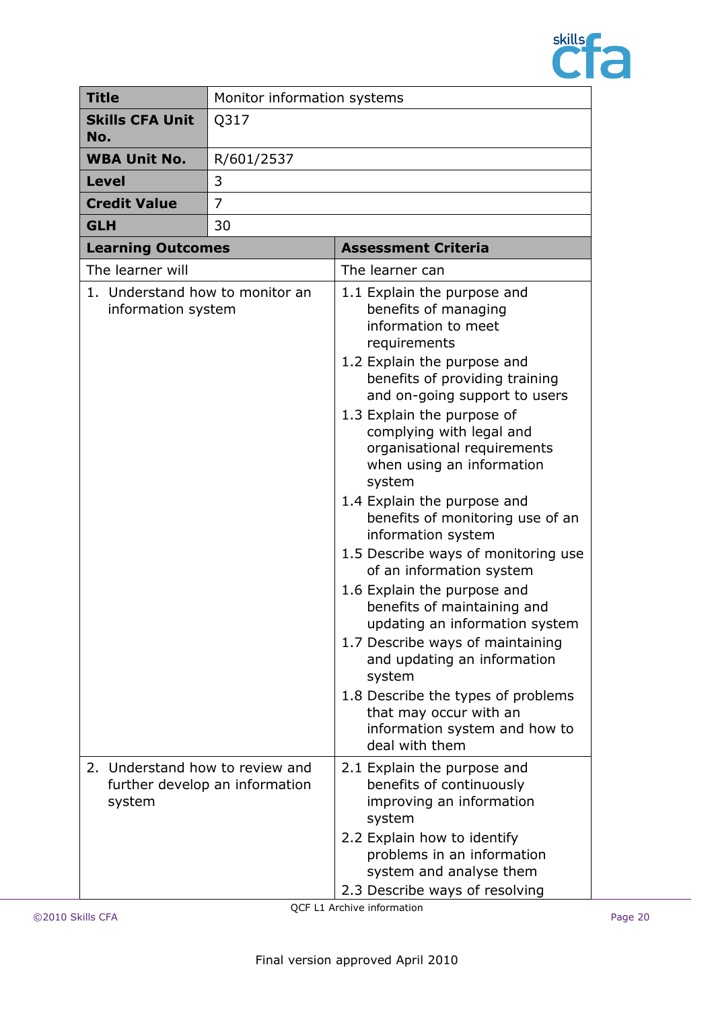

| <b>Title</b>                                          | Monitor information systems    |                                                                                                                                                                                                                                                                                                                                                                                                                                                                                                                                                                                                                                                                                                                                                                                          |
|-------------------------------------------------------|--------------------------------|------------------------------------------------------------------------------------------------------------------------------------------------------------------------------------------------------------------------------------------------------------------------------------------------------------------------------------------------------------------------------------------------------------------------------------------------------------------------------------------------------------------------------------------------------------------------------------------------------------------------------------------------------------------------------------------------------------------------------------------------------------------------------------------|
| <b>Skills CFA Unit</b><br>No.                         | Q317                           |                                                                                                                                                                                                                                                                                                                                                                                                                                                                                                                                                                                                                                                                                                                                                                                          |
| <b>WBA Unit No.</b>                                   | R/601/2537                     |                                                                                                                                                                                                                                                                                                                                                                                                                                                                                                                                                                                                                                                                                                                                                                                          |
| <b>Level</b>                                          | 3                              |                                                                                                                                                                                                                                                                                                                                                                                                                                                                                                                                                                                                                                                                                                                                                                                          |
| <b>Credit Value</b>                                   | 7                              |                                                                                                                                                                                                                                                                                                                                                                                                                                                                                                                                                                                                                                                                                                                                                                                          |
| <b>GLH</b>                                            | 30                             |                                                                                                                                                                                                                                                                                                                                                                                                                                                                                                                                                                                                                                                                                                                                                                                          |
| <b>Learning Outcomes</b>                              |                                | <b>Assessment Criteria</b>                                                                                                                                                                                                                                                                                                                                                                                                                                                                                                                                                                                                                                                                                                                                                               |
| The learner will                                      |                                | The learner can                                                                                                                                                                                                                                                                                                                                                                                                                                                                                                                                                                                                                                                                                                                                                                          |
| 1. Understand how to monitor an<br>information system |                                | 1.1 Explain the purpose and<br>benefits of managing<br>information to meet<br>requirements<br>1.2 Explain the purpose and<br>benefits of providing training<br>and on-going support to users<br>1.3 Explain the purpose of<br>complying with legal and<br>organisational requirements<br>when using an information<br>system<br>1.4 Explain the purpose and<br>benefits of monitoring use of an<br>information system<br>1.5 Describe ways of monitoring use<br>of an information system<br>1.6 Explain the purpose and<br>benefits of maintaining and<br>updating an information system<br>1.7 Describe ways of maintaining<br>and updating an information<br>system<br>1.8 Describe the types of problems<br>that may occur with an<br>information system and how to<br>deal with them |
| 2. Understand how to review and<br>system             | further develop an information | 2.1 Explain the purpose and<br>benefits of continuously<br>improving an information<br>system<br>2.2 Explain how to identify<br>problems in an information<br>system and analyse them<br>2.3 Describe ways of resolving                                                                                                                                                                                                                                                                                                                                                                                                                                                                                                                                                                  |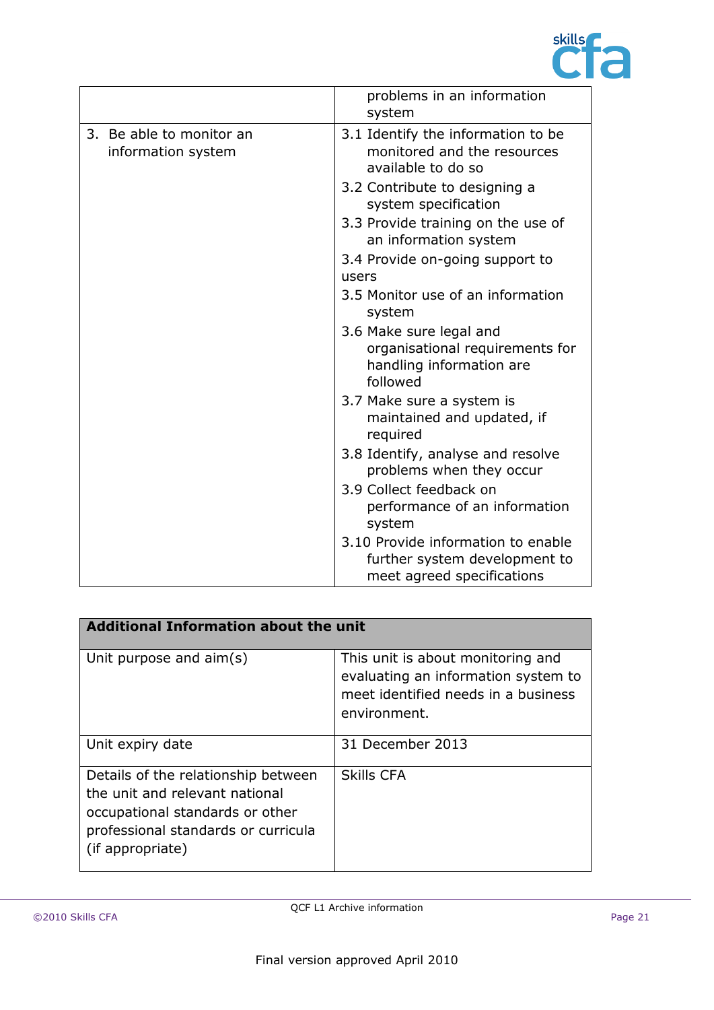

|                                                | problems in an information<br>system                                                               |
|------------------------------------------------|----------------------------------------------------------------------------------------------------|
| 3. Be able to monitor an<br>information system | 3.1 Identify the information to be<br>monitored and the resources<br>available to do so            |
|                                                | 3.2 Contribute to designing a<br>system specification                                              |
|                                                | 3.3 Provide training on the use of<br>an information system                                        |
|                                                | 3.4 Provide on-going support to                                                                    |
|                                                | users                                                                                              |
|                                                | 3.5 Monitor use of an information<br>system                                                        |
|                                                | 3.6 Make sure legal and<br>organisational requirements for<br>handling information are<br>followed |
|                                                | 3.7 Make sure a system is<br>maintained and updated, if<br>required                                |
|                                                | 3.8 Identify, analyse and resolve<br>problems when they occur                                      |
|                                                | 3.9 Collect feedback on<br>performance of an information<br>system                                 |
|                                                | 3.10 Provide information to enable<br>further system development to<br>meet agreed specifications  |

| <b>Additional Information about the unit</b>                                                                                                                        |                                                                                                                                 |  |
|---------------------------------------------------------------------------------------------------------------------------------------------------------------------|---------------------------------------------------------------------------------------------------------------------------------|--|
| Unit purpose and aim(s)                                                                                                                                             | This unit is about monitoring and<br>evaluating an information system to<br>meet identified needs in a business<br>environment. |  |
| Unit expiry date                                                                                                                                                    | 31 December 2013                                                                                                                |  |
| Details of the relationship between<br>the unit and relevant national<br>occupational standards or other<br>professional standards or curricula<br>(if appropriate) | <b>Skills CFA</b>                                                                                                               |  |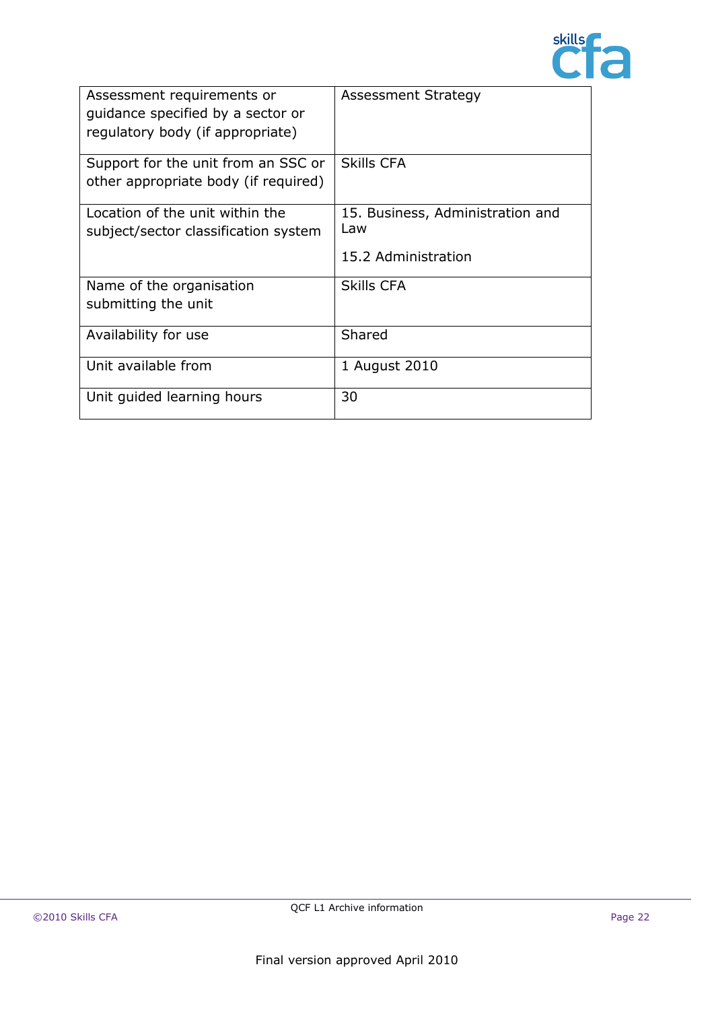

| Assessment requirements or<br>quidance specified by a sector or<br>regulatory body (if appropriate) | <b>Assessment Strategy</b>                                     |
|-----------------------------------------------------------------------------------------------------|----------------------------------------------------------------|
| Support for the unit from an SSC or<br>other appropriate body (if required)                         | <b>Skills CFA</b>                                              |
| Location of the unit within the<br>subject/sector classification system                             | 15. Business, Administration and<br>Law<br>15.2 Administration |
| Name of the organisation<br>submitting the unit                                                     | Skills CFA                                                     |
| Availability for use                                                                                | Shared                                                         |
| Unit available from                                                                                 | 1 August 2010                                                  |
| Unit guided learning hours                                                                          | 30                                                             |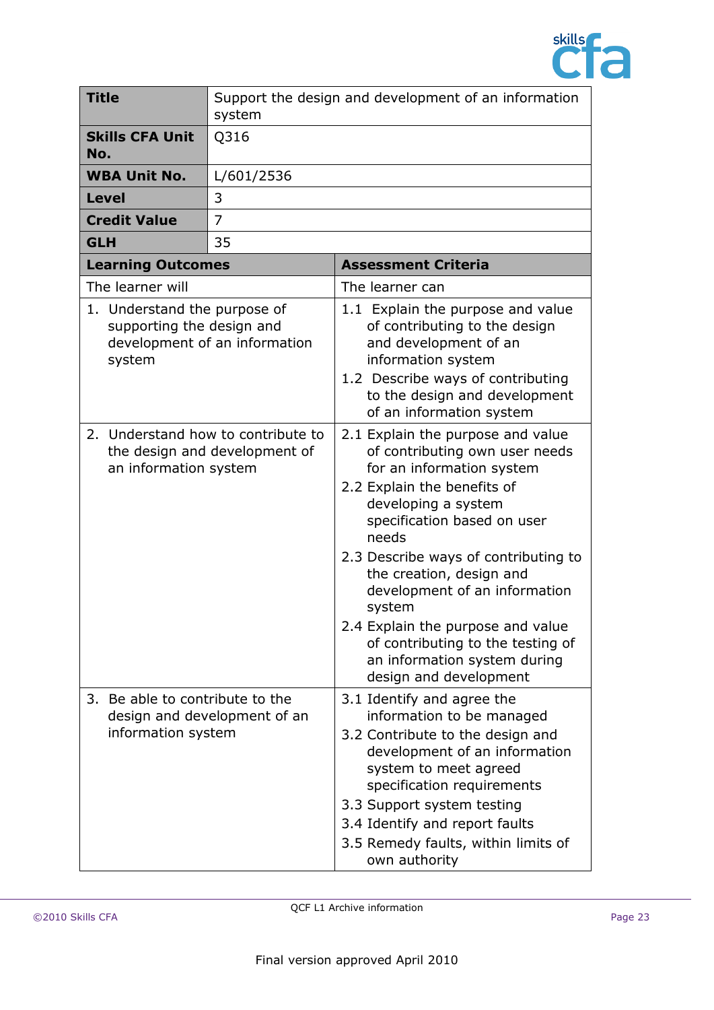

| <b>Title</b> |                                                                     | Support the design and development of an information<br>system      |                                                                                                                                                                                                                                                                                                                                                                                                                                                   |
|--------------|---------------------------------------------------------------------|---------------------------------------------------------------------|---------------------------------------------------------------------------------------------------------------------------------------------------------------------------------------------------------------------------------------------------------------------------------------------------------------------------------------------------------------------------------------------------------------------------------------------------|
| No.          | <b>Skills CFA Unit</b>                                              | Q316                                                                |                                                                                                                                                                                                                                                                                                                                                                                                                                                   |
|              | <b>WBA Unit No.</b>                                                 | L/601/2536                                                          |                                                                                                                                                                                                                                                                                                                                                                                                                                                   |
| <b>Level</b> |                                                                     | 3                                                                   |                                                                                                                                                                                                                                                                                                                                                                                                                                                   |
|              | <b>Credit Value</b>                                                 | 7                                                                   |                                                                                                                                                                                                                                                                                                                                                                                                                                                   |
| <b>GLH</b>   |                                                                     | 35                                                                  |                                                                                                                                                                                                                                                                                                                                                                                                                                                   |
|              | <b>Learning Outcomes</b>                                            |                                                                     | <b>Assessment Criteria</b>                                                                                                                                                                                                                                                                                                                                                                                                                        |
|              | The learner will                                                    |                                                                     | The learner can                                                                                                                                                                                                                                                                                                                                                                                                                                   |
|              | 1. Understand the purpose of<br>supporting the design and<br>system | development of an information                                       | 1.1 Explain the purpose and value<br>of contributing to the design<br>and development of an<br>information system<br>1.2 Describe ways of contributing<br>to the design and development<br>of an information system                                                                                                                                                                                                                               |
|              | an information system                                               | 2. Understand how to contribute to<br>the design and development of | 2.1 Explain the purpose and value<br>of contributing own user needs<br>for an information system<br>2.2 Explain the benefits of<br>developing a system<br>specification based on user<br>needs<br>2.3 Describe ways of contributing to<br>the creation, design and<br>development of an information<br>system<br>2.4 Explain the purpose and value<br>of contributing to the testing of<br>an information system during<br>design and development |
|              | 3. Be able to contribute to the<br>information system               | design and development of an                                        | 3.1 Identify and agree the<br>information to be managed<br>3.2 Contribute to the design and<br>development of an information<br>system to meet agreed<br>specification requirements<br>3.3 Support system testing<br>3.4 Identify and report faults<br>3.5 Remedy faults, within limits of<br>own authority                                                                                                                                       |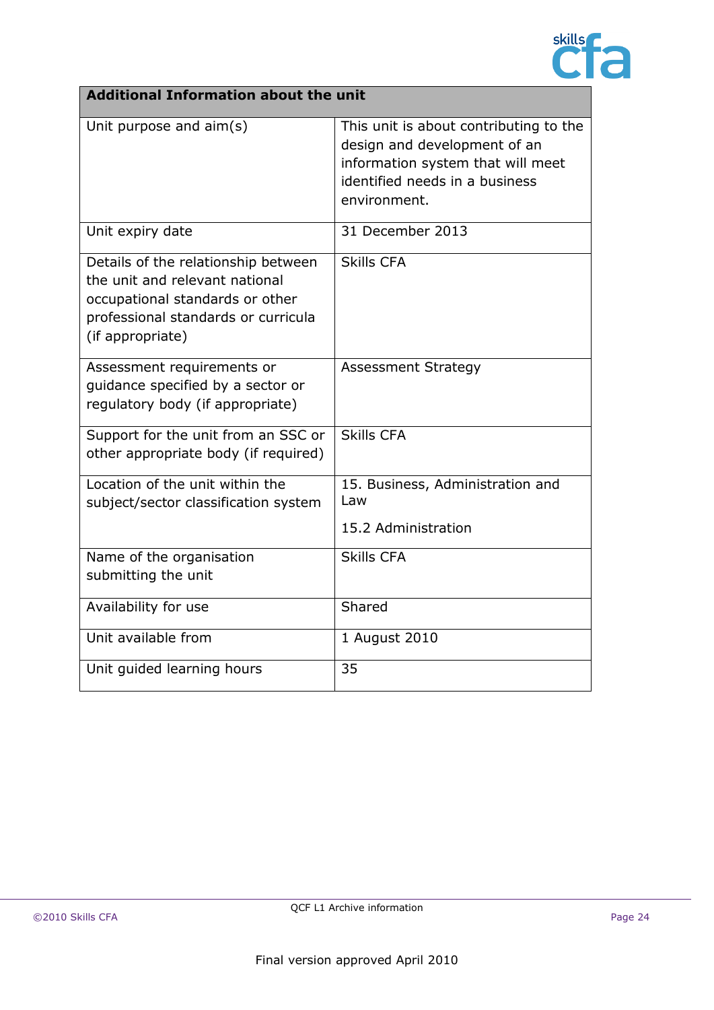

| <b>Additional Information about the unit</b>                                                                                                                        |                                                                                                                                                               |
|---------------------------------------------------------------------------------------------------------------------------------------------------------------------|---------------------------------------------------------------------------------------------------------------------------------------------------------------|
| Unit purpose and aim(s)                                                                                                                                             | This unit is about contributing to the<br>design and development of an<br>information system that will meet<br>identified needs in a business<br>environment. |
| Unit expiry date                                                                                                                                                    | 31 December 2013                                                                                                                                              |
| Details of the relationship between<br>the unit and relevant national<br>occupational standards or other<br>professional standards or curricula<br>(if appropriate) | <b>Skills CFA</b>                                                                                                                                             |
| Assessment requirements or<br>quidance specified by a sector or<br>regulatory body (if appropriate)                                                                 | <b>Assessment Strategy</b>                                                                                                                                    |
| Support for the unit from an SSC or<br>other appropriate body (if required)                                                                                         | Skills CFA                                                                                                                                                    |
| Location of the unit within the<br>subject/sector classification system                                                                                             | 15. Business, Administration and<br>Law<br>15.2 Administration                                                                                                |
| Name of the organisation<br>submitting the unit                                                                                                                     | <b>Skills CFA</b>                                                                                                                                             |
| Availability for use                                                                                                                                                | Shared                                                                                                                                                        |
| Unit available from                                                                                                                                                 | 1 August 2010                                                                                                                                                 |
| Unit guided learning hours                                                                                                                                          | 35                                                                                                                                                            |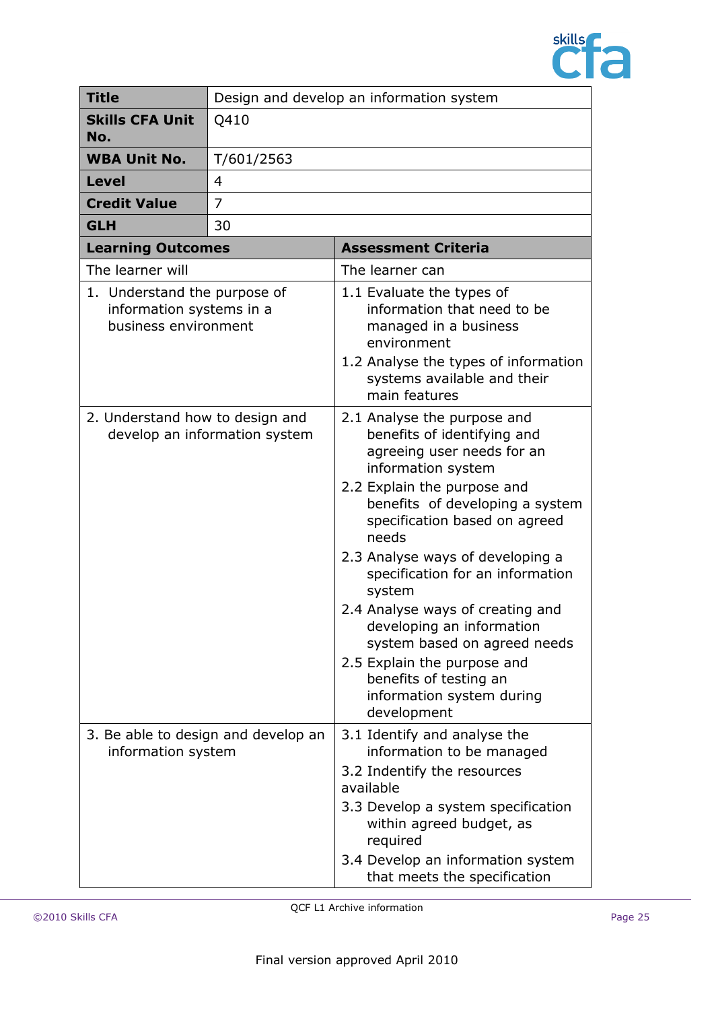

| <b>Title</b>                                                                     | Design and develop an information system |                                                                                                                                                                                                                                                                                                                                                                                                                                                                                                                    |
|----------------------------------------------------------------------------------|------------------------------------------|--------------------------------------------------------------------------------------------------------------------------------------------------------------------------------------------------------------------------------------------------------------------------------------------------------------------------------------------------------------------------------------------------------------------------------------------------------------------------------------------------------------------|
| <b>Skills CFA Unit</b><br>No.                                                    | Q410                                     |                                                                                                                                                                                                                                                                                                                                                                                                                                                                                                                    |
| <b>WBA Unit No.</b>                                                              | T/601/2563                               |                                                                                                                                                                                                                                                                                                                                                                                                                                                                                                                    |
| <b>Level</b>                                                                     | $\overline{4}$                           |                                                                                                                                                                                                                                                                                                                                                                                                                                                                                                                    |
| <b>Credit Value</b>                                                              | 7                                        |                                                                                                                                                                                                                                                                                                                                                                                                                                                                                                                    |
| <b>GLH</b>                                                                       | 30                                       |                                                                                                                                                                                                                                                                                                                                                                                                                                                                                                                    |
| <b>Learning Outcomes</b>                                                         |                                          | <b>Assessment Criteria</b>                                                                                                                                                                                                                                                                                                                                                                                                                                                                                         |
| The learner will                                                                 |                                          | The learner can                                                                                                                                                                                                                                                                                                                                                                                                                                                                                                    |
| 1. Understand the purpose of<br>information systems in a<br>business environment |                                          | 1.1 Evaluate the types of<br>information that need to be<br>managed in a business<br>environment<br>1.2 Analyse the types of information<br>systems available and their<br>main features                                                                                                                                                                                                                                                                                                                           |
| 2. Understand how to design and                                                  | develop an information system            | 2.1 Analyse the purpose and<br>benefits of identifying and<br>agreeing user needs for an<br>information system<br>2.2 Explain the purpose and<br>benefits of developing a system<br>specification based on agreed<br>needs<br>2.3 Analyse ways of developing a<br>specification for an information<br>system<br>2.4 Analyse ways of creating and<br>developing an information<br>system based on agreed needs<br>2.5 Explain the purpose and<br>benefits of testing an<br>information system during<br>development |
| 3. Be able to design and develop an<br>information system                        |                                          | 3.1 Identify and analyse the<br>information to be managed<br>3.2 Indentify the resources<br>available<br>3.3 Develop a system specification<br>within agreed budget, as<br>required<br>3.4 Develop an information system<br>that meets the specification                                                                                                                                                                                                                                                           |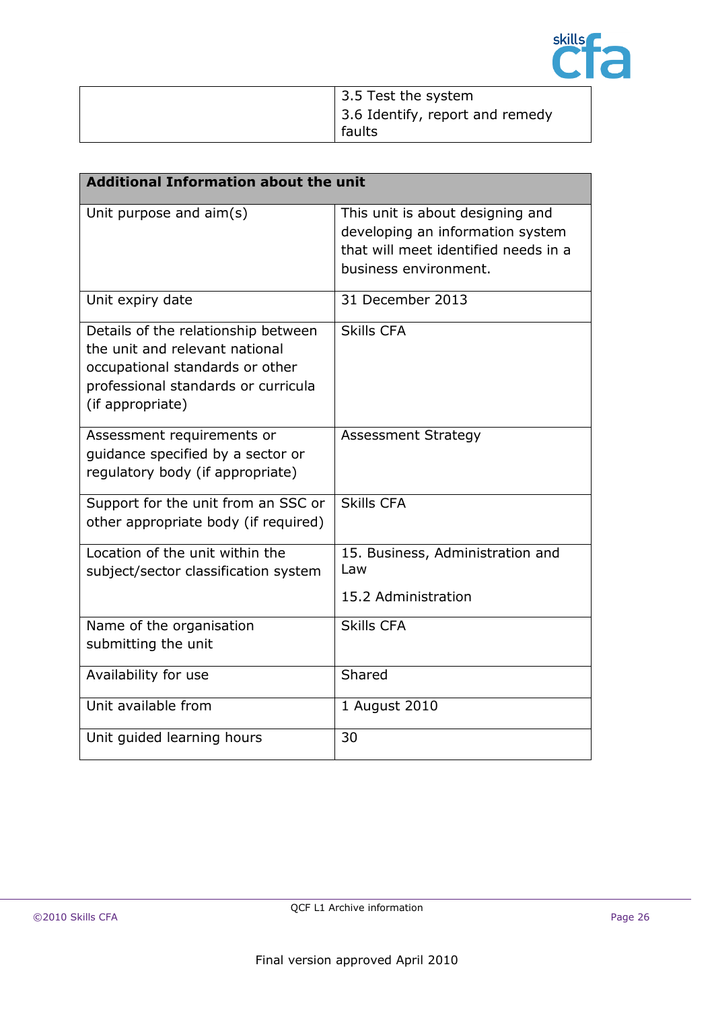

| 3.5 Test the system             |
|---------------------------------|
| 3.6 Identify, report and remedy |
| faults                          |

| <b>Additional Information about the unit</b>                                                                                                                        |                                                                                                                                       |  |
|---------------------------------------------------------------------------------------------------------------------------------------------------------------------|---------------------------------------------------------------------------------------------------------------------------------------|--|
| Unit purpose and $\text{aim}(s)$                                                                                                                                    | This unit is about designing and<br>developing an information system<br>that will meet identified needs in a<br>business environment. |  |
| Unit expiry date                                                                                                                                                    | 31 December 2013                                                                                                                      |  |
| Details of the relationship between<br>the unit and relevant national<br>occupational standards or other<br>professional standards or curricula<br>(if appropriate) | <b>Skills CFA</b>                                                                                                                     |  |
| Assessment requirements or<br>guidance specified by a sector or<br>regulatory body (if appropriate)                                                                 | <b>Assessment Strategy</b>                                                                                                            |  |
| Support for the unit from an SSC or<br>other appropriate body (if required)                                                                                         | <b>Skills CFA</b>                                                                                                                     |  |
| Location of the unit within the<br>subject/sector classification system                                                                                             | 15. Business, Administration and<br>Law<br>15.2 Administration                                                                        |  |
| Name of the organisation<br>submitting the unit                                                                                                                     | <b>Skills CFA</b>                                                                                                                     |  |
| Availability for use                                                                                                                                                | Shared                                                                                                                                |  |
| Unit available from                                                                                                                                                 | 1 August 2010                                                                                                                         |  |
| Unit guided learning hours                                                                                                                                          | 30                                                                                                                                    |  |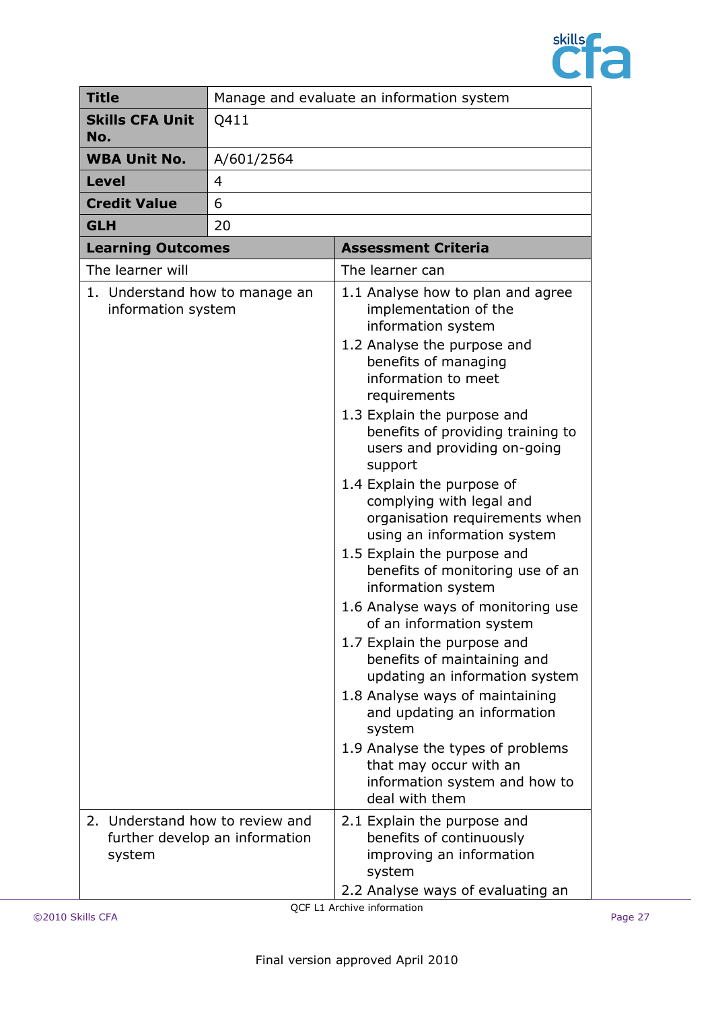

| <b>Title</b>                                         | Manage and evaluate an information system |                                                                                                                                                                                                                                                                                                                                                                                                                                                                                                                                                                                                                                                                                                                                                                                                                                                                                   |  |
|------------------------------------------------------|-------------------------------------------|-----------------------------------------------------------------------------------------------------------------------------------------------------------------------------------------------------------------------------------------------------------------------------------------------------------------------------------------------------------------------------------------------------------------------------------------------------------------------------------------------------------------------------------------------------------------------------------------------------------------------------------------------------------------------------------------------------------------------------------------------------------------------------------------------------------------------------------------------------------------------------------|--|
| <b>Skills CFA Unit</b><br>No.                        | Q411                                      |                                                                                                                                                                                                                                                                                                                                                                                                                                                                                                                                                                                                                                                                                                                                                                                                                                                                                   |  |
| <b>WBA Unit No.</b>                                  | A/601/2564                                |                                                                                                                                                                                                                                                                                                                                                                                                                                                                                                                                                                                                                                                                                                                                                                                                                                                                                   |  |
| <b>Level</b>                                         | 4                                         |                                                                                                                                                                                                                                                                                                                                                                                                                                                                                                                                                                                                                                                                                                                                                                                                                                                                                   |  |
| <b>Credit Value</b>                                  | 6                                         |                                                                                                                                                                                                                                                                                                                                                                                                                                                                                                                                                                                                                                                                                                                                                                                                                                                                                   |  |
| <b>GLH</b>                                           | 20                                        |                                                                                                                                                                                                                                                                                                                                                                                                                                                                                                                                                                                                                                                                                                                                                                                                                                                                                   |  |
| <b>Learning Outcomes</b>                             |                                           | <b>Assessment Criteria</b>                                                                                                                                                                                                                                                                                                                                                                                                                                                                                                                                                                                                                                                                                                                                                                                                                                                        |  |
| The learner will                                     |                                           | The learner can                                                                                                                                                                                                                                                                                                                                                                                                                                                                                                                                                                                                                                                                                                                                                                                                                                                                   |  |
| 1. Understand how to manage an<br>information system |                                           | 1.1 Analyse how to plan and agree<br>implementation of the<br>information system<br>1.2 Analyse the purpose and<br>benefits of managing<br>information to meet<br>requirements<br>1.3 Explain the purpose and<br>benefits of providing training to<br>users and providing on-going<br>support<br>1.4 Explain the purpose of<br>complying with legal and<br>organisation requirements when<br>using an information system<br>1.5 Explain the purpose and<br>benefits of monitoring use of an<br>information system<br>1.6 Analyse ways of monitoring use<br>of an information system<br>1.7 Explain the purpose and<br>benefits of maintaining and<br>updating an information system<br>1.8 Analyse ways of maintaining<br>and updating an information<br>system<br>1.9 Analyse the types of problems<br>that may occur with an<br>information system and how to<br>deal with them |  |
| 2. Understand how to review and<br>system            | further develop an information            | 2.1 Explain the purpose and<br>benefits of continuously<br>improving an information<br>system<br>2.2 Analyse ways of evaluating an                                                                                                                                                                                                                                                                                                                                                                                                                                                                                                                                                                                                                                                                                                                                                |  |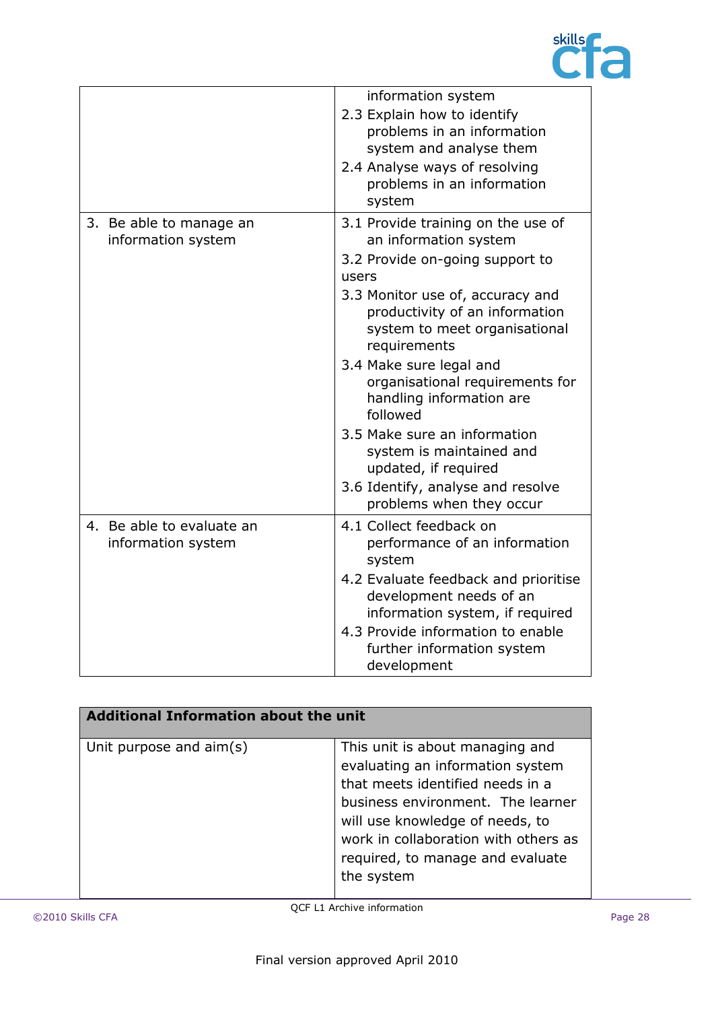

|                                                 | information system                                                                                                                                            |
|-------------------------------------------------|---------------------------------------------------------------------------------------------------------------------------------------------------------------|
|                                                 | 2.3 Explain how to identify<br>problems in an information<br>system and analyse them<br>2.4 Analyse ways of resolving<br>problems in an information<br>system |
| 3. Be able to manage an<br>information system   | 3.1 Provide training on the use of<br>an information system                                                                                                   |
|                                                 | 3.2 Provide on-going support to<br>users                                                                                                                      |
|                                                 | 3.3 Monitor use of, accuracy and<br>productivity of an information<br>system to meet organisational<br>requirements                                           |
|                                                 | 3.4 Make sure legal and<br>organisational requirements for<br>handling information are<br>followed                                                            |
|                                                 | 3.5 Make sure an information<br>system is maintained and<br>updated, if required                                                                              |
|                                                 | 3.6 Identify, analyse and resolve<br>problems when they occur                                                                                                 |
| 4. Be able to evaluate an<br>information system | 4.1 Collect feedback on<br>performance of an information<br>system                                                                                            |
|                                                 | 4.2 Evaluate feedback and prioritise<br>development needs of an<br>information system, if required                                                            |
|                                                 | 4.3 Provide information to enable<br>further information system<br>development                                                                                |

| <b>Additional Information about the unit</b> |                                                                                                                                                                                                                                                                           |  |
|----------------------------------------------|---------------------------------------------------------------------------------------------------------------------------------------------------------------------------------------------------------------------------------------------------------------------------|--|
| Unit purpose and aim(s)                      | This unit is about managing and<br>evaluating an information system<br>that meets identified needs in a<br>business environment. The learner<br>will use knowledge of needs, to<br>work in collaboration with others as<br>required, to manage and evaluate<br>the system |  |